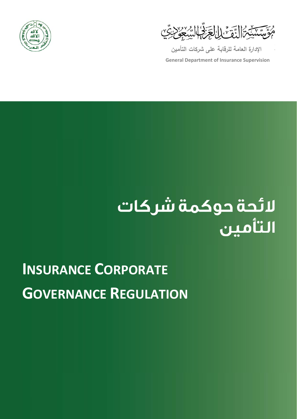



**الإدارة العامة للرقابة على شركات التأمين**

**General Department of Insurance Supervision**

# لائحة حوكمة شركات<br>التأمين

# **INSURANCE CORPORATE GOVERNANCE REGULATION**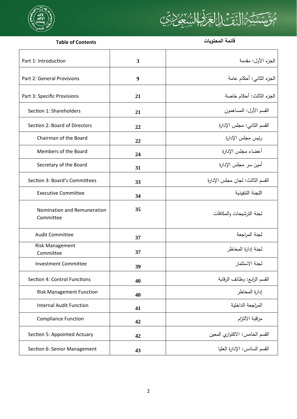

# <u>ؠۜٙ؉ؿؙ</u>؇ٳڵؾٙۊ؉ٳٳڸ<del>ڿ</del>ؚٙڒڋۣٵڸڛۣ۠ڿۣێ؏  $\mathfrak{C}$

# **Table of Contents المحتويات قائمة**

| Part 1: Introduction                     | 3  | الجزء الأول: مقدمة              |
|------------------------------------------|----|---------------------------------|
| Part 2: General Provisions               | 9  | الجزء الثاني: أحكام عامة        |
| Part 3: Specific Provisions              | 21 | الجزء الثالث: أحكام خاصة        |
| Section 1: Shareholders                  | 21 | القسم الأول: المساهمون          |
| Section 2: Board of Directors            | 22 | القسم الثاني: مجلس الإدارة      |
| Chairman of the Board                    | 22 | رئيس مجلس الإدارة               |
| Members of the Board                     | 24 | أعضاء مجلس الإدارة              |
| Secretary of the Board                   | 31 | أمين سر مجلس الإدارة            |
| Section 3: Board's Committees            | 33 | القسم الثالث: لجان مجلس الإدارة |
| <b>Executive Committee</b>               | 34 | اللجنة التنفيذية                |
| Nomination and Remuneration<br>Committee | 35 | لجنة الترشيحات والمكافآت        |
| <b>Audit Committee</b>                   | 37 | لجنة المراجعة                   |
| <b>Risk Management</b><br>Committee      | 37 | لجنة إدارة المخاطر              |
| <b>Investment Committee</b>              | 39 | لجنة الاستثمار                  |
| Section 4: Control Functions             | 40 | القسم الرابع: وظائف الرقابة     |
| <b>Risk Management Function</b>          | 40 | إدارة المخاطر                   |
| <b>Internal Audit Function</b>           | 41 | المراجعة الداخلية               |
| <b>Compliance Function</b>               | 42 | مراقبة الالتزام                 |
| Section 5: Appointed Actuary             | 42 | القسم الخامس: الاكتواري المعين  |
| Section 6: Senior Management             | 43 | القسم السادس: الإدارة العليا    |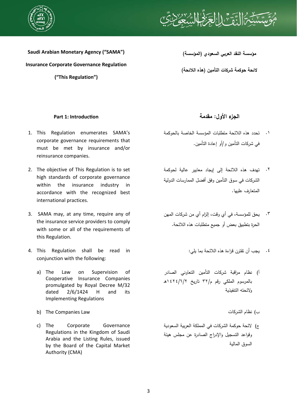



**Saudi Arabian Monetary Agency ("SAMA") Insurance Corporate Governance Regulation ("This Regulation")** 

**مؤسسة النقد العربي السعودي (المؤسسة)** 

**لائحة حوكمة شركات التأمين (هذه اللائحة)** 

# **الجزء الأول: مقدمة IntroducƟon 1: Part**

- 1. This Regulation enumerates SAMA's corporate governance requirements that must be met by insurance and/or reinsurance companies.
- 2. The objective of This Regulation is to set high standards of corporate governance within the insurance industry in accordance with the recognized best international practices.
- 3. SAMA may, at any time, require any of the insurance service providers to comply with some or all of the requirements of this Regulation.
- 4. This Regulation shall be read in conjunction with the following:
	- a) The Law on Supervision of Cooperative Insurance Companies promulgated by Royal Decree M/32 dated 2/6/1424 H and its Implementing Regulations
	- b) The Companies Law الشركات نظام) ب
	- c) The Corporate Governance Regulations in the Kingdom of Saudi Arabia and the Listing Rules, issued by the Board of the Capital Market Authority (CMA)

- تحدد هذه اللائحة متطلبات المؤسسة الخاصة بالحوكمة .١ في شركات التأمين و/أو إعادة التأمين.
- تهدف هذه اللائحة إلى إيجاد معايير عالية لحوكمة .٢ الشركات في سوق التأمين وفق أفضل الممارسات الدولية المتعارف عليها.
- يحق للمؤسسة، في أي وقت، إلزام أي من شركات المهن .٣ الحرة بتطبيق بعض أو جميع متطلبات هذه اللائحة.
	- .٤ يجب أن تقترن قراءة هذه اللائحة بما يلي:
- أ) نظام مراقبة شركات التأمين التعاوني الصادر بالمرسوم الملكي رقم م٣٢/ تاريخ ١٤٢٤/٦/٢هـ ولائحته التنفيذية
	-
- ج) لائحة حوكمة الشركات في المملكة العربية السعودية وقواعد التسجيل والإدراج الصادرة عن مجلس هيئة السوق المالية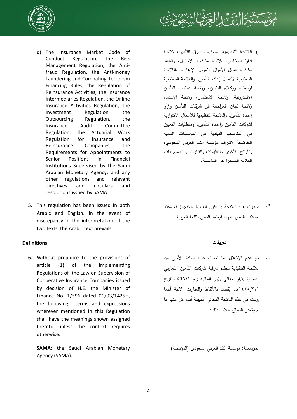



- d) The Insurance Market Code of Conduct Regulation, the Risk Management Regulation, the Antifraud Regulation, the Anti-money Laundering and Combating Terrorism Financing Rules, the Regulation of Reinsurance Activities, the Insurance Intermediaries Regulation, the Online Insurance Activities Regulation, the Investment Regulation the Outsourcing Regulation, the Insurance Audit Committee Regulation, the Actuarial Work Regulation for Insurance and Reinsurance Companies, the Requirements for Appointments to Senior Positions in Financial Institutions Supervised by the Saudi Arabian Monetary Agency, and any other regulations and relevant directives and circulars and resolutions issued by SAMA
- 5. This regulation has been issued in both Arabic and English. In the event of discrepancy in the interpretation of the two texts, the Arabic text prevails.

# **تعريفات Definitions**

6. Without prejudice to the provisions of article (1) of the Implementing Regulations of the Law on Supervision of Cooperative Insurance Companies issued by decision of H.E. the Minister of Finance No. 1/596 dated 01/03/1425H, the following terms and expressions wherever mentioned in this Regulation shall have the meanings shown assigned thereto unless the context requires otherwise:

**SAMA:** the Saudi Arabian Monetary Agency (SAMA).

- د) اللائحة التنظيمية لسلوكيات سوق التأمين، ولائحة إدارة المخاطر، ولائحة مكافحة الاحتيال، وقواعد مكافحة غسل الأموال وتمويل الإرهاب، واللائحة التنظيمية لأعمال إعادة التأمين، واللائحة التنظيمية لوسطاء ووكلاء التامين، ولائحة عمليات التأمين الإلكترونية، ولائحة الاستثمار، ولائحة الإسناد، ولائحة لجان المراجعة في شركات التأمين و/أو إعادة التأمين، واللائحة التنظيمية للأعمال الاكتوارية لشركات التأمين واعادة التأمين، ومتطلبات التعيين في المناصب القيادية في المؤسسات المالية الخاضعة لاشراف مؤسسة النقد العربي السعودي، واللوائح الأخرى والتعليمات والقرارات والتعاميم ذات العلاقة الصادرة عن المؤسسة.
- صدرت هذه اللائحة باللغتين العربية والإنجليزية، وعند اختلاف النص بينهما فيعتمد النص باللغة العربية. .٥

مع عدم الإخلال بما نصت عليه المادة الأولى من .٦ اللائحة التنفيذية لنظام مراقبة شركات التأمين التعاوني الصادرة بقرار معالي وزير المالية رقم ٥٩٦/١ وتاريخ ١٤٢٥/٣/١هـ، يُقصد بالألفاظ والعبارات الآتية أينما وردت في هذه اللائحة المعاني المبينة أمام كل منها ما لم يقتض السياق خلاف ذلك:

**المؤسسة:** مؤسسة النقد العربي السعودي (المؤسسة).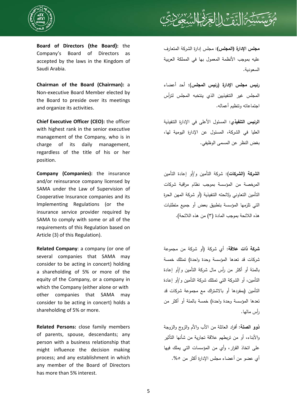

**Board of Directors (the Board):** the Company's Board of Directors as accepted by the laws in the Kingdom of Saudi Arabia.

**Chairman of the Board (Chairman):** a Non-executive Board Member elected by the Board to preside over its meetings and organize its activities.

**Chief Executive Officer (CEO):** the officer with highest rank in the senior executive management of the Company, who is in charge of its daily management, regardless of the title of his or her position.

**Company (Companies):** the insurance and/or reinsurance company licensed by SAMA under the Law of Supervision of Cooperative Insurance companies and its Implementing Regulations (or the insurance service provider required by SAMA to comply with some or all of the requirements of this Regulation based on Article (3) of this Regulation).

**Related Company**: a company (or one of several companies that SAMA may consider to be acting in concert) holding a shareholding of 5% or more of the equity of the Company, or a company in which the Company (either alone or with other companies that SAMA may consider to be acting in concert) holds a shareholding of 5% or more.

**Related Persons:** close family members of parents, spouse, descendants; any person with a business relationship that might influence the decision making process; and any establishment in which any member of the Board of Directors has more than 5% interest.



**مجلس الإدارة (المجلس):** مجلس إدارة الشركة المتعارف عليه بموجب الأنظمة المعمول بها في المملكة العربية السعودية.

**رئيس مجلس الإدارة (رئيس المجلس):** أحد أعضاء المجلس غير التنفيذيين الذي ينتخبه المجلس لترأس اجتماعاته وتنظيم أعماله.

**الرئيس التنفيذي:** المسئول الأعلى في الإدارة التنفيذية العليا في الشركة، المسئول عن الإدارة اليومية لها، بغض النظر عن المسمى الوظيفي.

**الشركة (الشركات):** شركة التأمين و/أو إعادة التأمين المرخصة من المؤسسة بموجب نظام مراقبة شركات التأمين التعاوني ولائحته التنفيذية (أو شركة المهن الحرة التي تلزمها المؤسسة بتطبيق بعض أو جميع متطلبات هذه اللائحة بموجب المادة (٣) من هذه اللائحة).

**شركة ذات علاقة**: أي شركة (أو شركة من مجموعة شركات قد تعدها المؤسسة وحدة واحدة) تمتلك خمسة بالمئة أو أكثر من رأس مال شركة التأمين و/أو إعادة التأمين، أو الشركة التي تمتلك شركة التأمين و/أو إعادة التأمين (بمفردها أو بالاشتراك مع مجموعة شركات قد تعدها المؤسسة وحدة واحدة) خمسة بالمئة أو أكثر من رأس مالها.

**ذوو الصلة:** أفراد العائلة من الأب والأم والزوج والزوجة والأبناء، أو من تربطهم علاقة تجارية من شأنها التأثير على اتخاذ القرار، وأي من المؤسسات التي يملك فيها أي عضو من أعضاء مجلس الإدارة أكثر من .%٥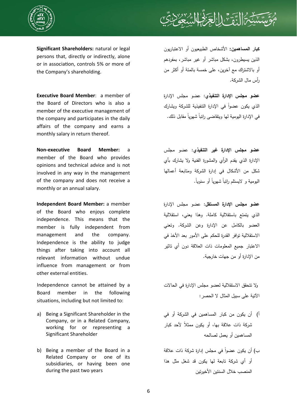

**Significant Shareholders:** natural or legal persons that, directly or indirectly, alone or in association, controls 5% or more of the Company's shareholding.

**Executive Board Member**: a member of the Board of Directors who is also a member of the executive management of the company and participates in the daily affairs of the company and earns a monthly salary in return thereof.

**Non-executive Board Member:** a member of the Board who provides opinions and technical advice and is not involved in any way in the management of the company and does not receive a monthly or an annual salary.

**Independent Board Member:** a member of the Board who enjoys complete independence. This means that the member is fully independent from management and the company. Independence is the ability to judge things after taking into account all relevant information without undue influence from management or from other external entities.

 Independence cannot be attained by a Board member in the following situations, including but not limited to:

- a) Being a Significant Shareholder in the Company, or in a Related Company, working for or representing a Significant Shareholder
- b) Being a member of the Board in a Related Company or one of its subsidiaries, or having been one during the past two years

**كبار المساهمين:** الأشخاص الطبيعيون أو الاعتباريون الذين يسيطرون، بشكل مباشر أو غير مباشر، بمفردهم أو بالاشتراك مع آخرين، على خمسة بالمئة أو أكثر من رأس مال الشركة.

**عضو مجلس الإدارة التنفيذي**: عضو مجلس الإدارة الذي يكون عضواً في الإدارة التتفيذية للشركة ويشارك <sup>ن</sup>ي الإدارة اليومية لـها ويتقاضـ<sub>ى</sub> راتبا شـهريا مقابل ذلك.

**عضو مجلس الإدارة غير التنفيذي:** عضو مجلس الإدارة الذي يقدم الرأي والمشورة الفنية ولا يشارك بأي شكل من الأشكال في إدارة الشركة ومتابعة أعمالها ليومية و لايستلم راتبا شـهريا أو سنويا.

**عضو مجلس الإدارة المستقل:** عضو مجلس الإدارة الذي يتمتع باستقلالية كاملة. وهذا يعني، استقلالية العضو بالكامل عن الإدارة وعن الشركة. وتعني الاستقلالية توافر القدرة للحكم على الأمور بعد الأخذ في الاعتبار جميع المعلومات ذات العلاقة دون أي تاثير من الإدارة أو من جهات خارجية.

ولا تتحقق الاستقلالية لعضو مجلس الإدارة في الحالات الآتية على سبيل المثال لا الحصر:

- أ) أن يكون من كبار المساهمين في الشركة أو في ً لأحد كبار شركة ذات علاقة بها، أو يكون ممثلا المساهمين أو يعمل لصالحه
- ب) أن يكون عضوا في مجلس إدارة شركة ذات علاقة أو أي شركة تابعة لها يكون قد شغل مثل هذا المنصب خلال السنتين الأخيرتين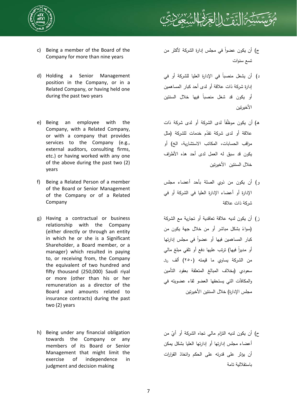



- c) Being a member of the Board of the Company for more than nine years
- d) Holding a Senior Management position in the Company, or in a Related Company, or having held one during the past two years
- e) Being an employee with the Company, with a Related Company, or with a company that provides services to the Company (e.g., external auditors, consulting firms, etc.) or having worked with any one of the above during the past two (2) years
- f) Being a Related Person of a member of the Board or Senior Management of the Company or of a Related Company
- g) Having a contractual or business relationship with the Company (either directly or through an entity in which he or she is a Significant Shareholder, a Board member, or a manager) which resulted in paying to, or receiving from, the Company the equivalent of two hundred and fifty thousand (250,000) Saudi riyal or more (other than his or her remuneration as a director of the Board and amounts related to insurance contracts) during the past two (2) years
- h) Being under any financial obligation towards the Company or any members of its Board or Senior Management that might limit the exercise of independence in judgment and decision making
- ج) أن يكون عضوا في مجلس إدارة الشركة لأكثر من تسع سنوات
- د) أن يشغل منصباً في الإدارة العليا للشركة أو في إدارة شركة ذات علاقة أو لدى أحد كبار المساهمين أو يكون قد شغل منصبا فيها خلال السنتين الأخيرتين
- ه) أن يكون موظفا لدى الشركة أو لدى شركة ذات علاقة أو لدى شركة تقدّم خدمات للشركة (مثل مراقب الحسابات، المكاتب الاستشارية، الخ) أو يكون قد سبق له العمل لدى أحد هذه الأطراف خلال السنتين الأخيرتين
- و) أن يكون من ذوي الصلة بأحد أعضاء مجلس الإدارة أو أعضاء الإدارة العليا في الشركة أو في شركة ذات علاقة
- ز) أن يكون لديه علاقة تعاقدية أو تجارية مع الشركة (سواءً بشكل مباشر أو من خلال جهة يكون من كبار المساهمين فيها أو عضوا في مجلس إدارتها أو مديراً فيها) ترتب عليها دفع أو تلقى مبلغ مالي من الشركة يساوي ما قيمته (٢٥٠) ألف ریال سعودي (بخلاف المبالغ المتعلقة بعقود التأمين والمكافآت التي يستحقها العضو لقاء عضويته في مجلس الإدارة) خلال السنتين الأخيرتين
- ح) أن يكون لديه النزام مالي تجاه الشركة أو أيّ من أعضاء مجلس إدارتها أو إدارتها العليا بشكل يمكن أن يؤثر على قدرته على الحكم واتخاذ القرارات باستقلالية تامة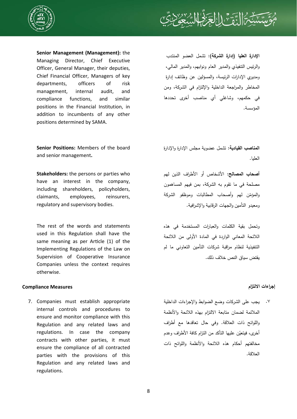



**Senior Management (Management):** the Managing Director, Chief Executive Officer, General Manager, their deputies, Chief Financial Officer, Managers of key departments, officers of risk management, internal audit, and compliance functions, and similar positions in the Financial Institution, in addition to incumbents of any other positions determined by SAMA.

**Senior Positions:** Members of the board and senior management**.** 

**Stakeholders:** the persons or parties who have an interest in the company, including shareholders, policyholders, claimants, employees, reinsurers, regulatory and supervisory bodies.

 The rest of the words and statements used in this Regulation shall have the same meaning as per Article (1) of the Implementing Regulations of the Law on Supervision of Cooperative Insurance Companies unless the context requires otherwise.

# **إجراءات الالتزام Measures Compliance**

7. Companies must establish appropriate internal controls and procedures to ensure and monitor compliance with this Regulation and any related laws and regulations. In case the company contracts with other parties, it must ensure the compliance of all contracted parties with the provisions of this Regulation and any related laws and regulations.

**الإدارة العليا (إدارة الشركة):** تشمل العضو المنتدب والرئيس التنفيذي والمدير العام ونوابهم، والمدير المالي، ومديري الإدارات الرئيسة، والمسؤلين عن وظائف إدارة المخاطر والمراجعة الداخلية والإلتزام في الشركة، ومن في حكمهم، وشاغلي أي مناصب أخرى تحددها المؤسسة.

**المناصب القيادية:** تشمل عضوية مجلس الإدارة والإدارة العليا.

**أصحاب المصالح:** الأشخاص أو الأطراف الذين لهم مصلحة في ما تقوم به الشركة، بمن فيهم المساهمون والمؤمّن لمهم وأصحاب المطالبات وموظفو الشركة ومعيدو التأمين والجهات الرقابية والإشرافية.

وتحمل بقية الكلمات والعبارات المستخدمة في هذه اللائحة المعاني الواردة في المادة الأولى من اللائحة التنفيذية لنظام مراقبة شركات التأمين التعاوني ما لم يقتض سياق النص خلاف ذلك.

يجب على الشركات وضع الضوابط والإجراءات الداخلية .٧الملائمة لضمان متابعة الالتزام بهذه اللائحة والأنظمة واللوائح ذات العلاقة. وفي حال تعاقدها مع أطراف أخرى، فيتعيّن عليها التأكد من التزام كافة الأطراف وعدم مخالفتهم أحكام هذه اللائحة والأنظمة واللوائح ذات العلاقة.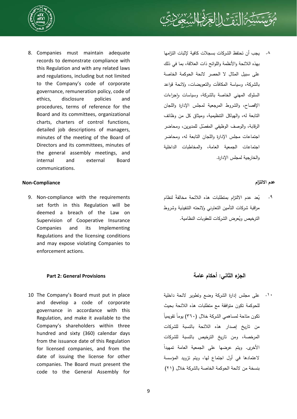

8. Companies must maintain adequate records to demonstrate compliance with this Regulation and with any related laws and regulations, including but not limited to the Company's code of corporate governance, remuneration policy, code of ethics, disclosure policies and procedures, terms of reference for the Board and its committees, organizational charts, charters of control functions, detailed job descriptions of managers, minutes of the meeting of the Board of Directors and its committees, minutes of the general assembly meetings, and internal and external Board communications.

# **عدم الالتزام Compliance-Non**

9. Non-compliance with the requirements set forth in this Regulation will be deemed a breach of the Law on Supervision of Cooperative Insurance Companies and its Implementing Regulations and the licensing conditions and may expose violating Companies to enforcement actions.

10 The Company's Board must put in place and develop a code of corporate governance in accordance with this Regulation, and make it available to the Company's shareholders within three hundred and sixty (360) calendar days from the issuance date of this Regulation for licensed companies, and from the date of issuing the license for other companies. The Board must present the code to the General Assembly for



يجب أن تحتفظ الشركات بسجلات كافية لإثبات التزامها بهذه اللائحة والأنظمة واللوائح ذات العلاقة، بما في ذلك على سبيل المثال لا الحصر لائحة الحوكمة الخاصة بالشركة، وسياسة المكافآت والتعويضات، ولائحة قواعد السلوك المهني الخاصة بالشركة، وسياسات وإجراءات الإفصاح، والشروط المرجعية لمجلس الإدارة واللجان التابعة له، والهياكل التنظيمية، وميثاق كل من وظائف الرقابة، والوصف الوظيفي المفصّل للمديرين، ومحاضر اجتماعات مجلس الإدارة واللجان التابعة له، ومحاضر اجتماعات الجمعية العامة، والمخاطبات الداخلية والخارجية لمجلس الإدارة. .٨

بُعد عدم الالتزام بمتطلبات هذه اللائحة مخالفة لنظام مراقبة شركات التأمين التعاوني ولائحته التنفيذية وشروط الترخيص ويُعرض الشركات للعقوبات النظامية. .٩

# **الجزء الثاني: أحكام عامة Provisions General 2: Part**

على مجلس إدارة الشركة وضع وتطوير لائحة داخلية للحوكمة تكون متوافقة مع متطلبات هذه اللائحة بحيث ككون متاحة لمساهمي الشركة خلال (٣٦٠) بوما تقويميا من تاريخ إصدار هذه اللائحة بالنسبة للشركات المرخصة، ومن تاريخ الترخيص بالنسبة للشركات ً الأخرى. ويتم عرضها على الجمعية العامة تمهيدا لاعتمادها في أول اجتماع لها، ويتم تزويد المؤسسة بنسخة من لائحة الحوكمة الخاصة بالشركة خلال (٢١) .١٠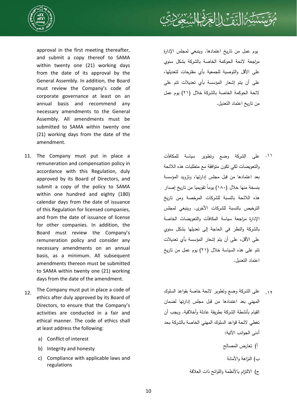



approval in the first meeting thereafter, and submit a copy thereof to SAMA within twenty one (21) working days from the date of its approval by the General Assembly. In addition, the Board must review the Company's code of corporate governance at least on an annual basis and recommend any necessary amendments to the General Assembly. All amendments must be submitted to SAMA within twenty one (21) working days from the date of the amendment.

- 11. The Company must put in place a remuneration and compensation policy in accordance with this Regulation, duly approved by its Board of Directors, and submit a copy of the policy to SAMA within one hundred and eighty (180) calendar days from the date of issuance of this Regulation for licensed companies, and from the date of issuance of license for other companies. In addition, the Board must review the Company's remuneration policy and consider any necessary amendments on an annual basis, as a minimum. All subsequent amendments thereon must be submitted to SAMA within twenty one (21) working days from the date of the amendment.
- 12. The Company must put in place a code of ethics after duly approved by its Board of Directors, to ensure that the Company's activities are conducted in a fair and ethical manner. The code of ethics shall at least address the following:
	- a) Conflict of interest
	- b) Integrity and honesty
	- c) Compliance with applicable laws and regulations

يوم عمل من تاريخ اعتمادها. وينبغي لمجلس الإدارة مراجعة لائحة الحوكمة الخاصة بالشركة بشكل سنوي على الأقل والتوصية للجمعية بأي مقترحات لتعديلها، على أن يتم إشعار المؤسسة بأي تعديلات تتم على لائحة الحوكمة الخاصة بالشركة خلال (٢١) يوم عمل من تاريخ اعتماد التعديل.

- على الشركة وضع وتطوير سياسة للمكافآت .١١ والتعويضات لكي تكون متوافقة مع متطلبات هذه اللائحة بعد اعتمادها من قبل مجلس إدارتها، وتزويد المؤسسة نسخة منها خلال (١٨٠) يوما تقويميا من تاريخ إصدار هذه اللائحة بالنسبة للشركات المرخصة ومن تاريخ الترخيص بالنسبة للشركات الأخرى. وينبغي لمجلس الإدارة مراجعة سياسة المكافآت والتعويضات الخاصة بالشركة والنظر في الحاجة إلى تعديلها بشكل سنوي على الأقل، على أن يتم إشعار المؤسسة بأي تعديلات تتم على هذه السياسة خلال (٢١) يوم عمل من تاريخ اعتماد التعديل.
- على الشركة وضع وتطوير لائحة خاصة بقواعد السلوك .١٢المهني بعد اعتمادها من قبل مجلس إدارتها لضمان القيام بأنشطة الشركة بطريقة عادلة وأخلاقية. ويجب أن تغطي لائحة قواعد السلوك المهني الخاصة بالشركة بحد أدنى الجوانب الآتية:
	- أ) تعارض المصالح
		- ب) النزاهة والأمانة
	- ج) الالتزام بالأنظمة واللوائح ذات العلاقة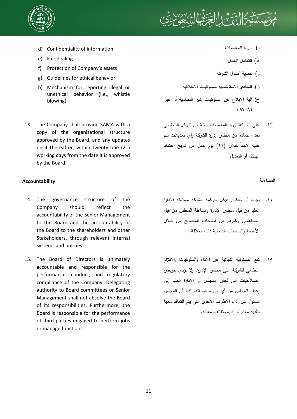

# ١

- d) Confidentiality of information
- e) Fair dealing
- f) Protection of Company's assets
- g) Guidelines for ethical behavior
- h) Mechanism for reporting illegal or unethical behavior (i.e., whistle blowing)
- 13. The Company shall provide SAMA with a copy of the organizational structure approved by the Board, and any updates on it thereafter, within twenty one (21) working days from the date it is approved by the Board.

# **المساءلة Accountability**

- 14. The governance structure of the Company should reflect the accountability of the Senior Management to the Board and the accountability of the Board to the shareholders and other Stakeholders, through relevant internal systems and policies.
- 15. The Board of Directors is ultimately accountable and responsible for the performance, conduct, and regulatory compliance of the Company. Delegating authority to Board committees or Senior Management shall not absolve the Board of its responsibilities. Furthermore, the Board is responsible for the performance of third parties engaged to perform jobs or manage functions.
- د) سرية المعلومات
- ه) التعامل العادل
- و) حماية أصول الشركة
- ز) المبادئ الاسترشادية للسلوكيات الأخلاقية
- ح) آلية الإبلاغ عن السلوكيات غير النظامية أو غير الأخلاقية
- على الشركة تزويد المؤسسة بنسخة من الهيكل التنظيمي .١٣ بعد اعتماده من مجلس إدارة الشركة وأي تعديلات تتم ً خلال (٢١) يوم عمل من تاريخ اعتماد عليه لاحقا الهيكل أو التعديل.

- يجب أن يعكس هيكل حوكمة الشركة مساءلة الإدارة .١٤ العليا من قبل مجلس الإدارة ومساءلة المجلس من قبل المساهمين وغيرهم من أصحاب المصالح من خلال الأنظمة والسياسات الداخلية ذات العلاقة.
- تقع المسئولية النهائية عن الأداء والسلوكيات والالتزام .١٥النظامي للشركة على مجلس الإدارة. ولا يؤدي تفويض الصلاحيات إلى لجان المجلس أو الإدارة العليا إلى إعفاء المجلس من أي من مسئولياته. كما أنّ المجلس مسئول عن أداء الأطراف الأخرى التي يتم التعاقد معها لتأدية مهام أو إدارة وظائف معينة.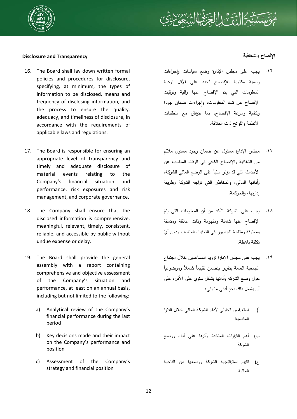

# ثَ التَّقَ<sup>تِ</sup> الِالْحَرَ لَهُا

## **Disclosure and Transparency والشفافية الإفصاح**

- 16. The Board shall lay down written formal policies and procedures for disclosure, specifying, at minimum, the types of information to be disclosed, means and frequency of disclosing information, and the process to ensure the quality, adequacy, and timeliness of disclosure, in accordance with the requirements of applicable laws and regulations.
- 17. The Board is responsible for ensuring an appropriate level of transparency and timely and adequate disclosure of material events relating to the Company's financial situation and performance, risk exposures and risk management, and corporate governance.
- 18. The Company shall ensure that the disclosed information is comprehensive, meaningful, relevant, timely, consistent, reliable, and accessible by public without undue expense or delay.
- 19. The Board shall provide the general assembly with a report containing comprehensive and objective assessment of the Company's situation and performance, at least on an annual basis, including but not limited to the following:
	- a) Analytical review of the Company's financial performance during the last period
	- b) Key decisions made and their impact on the Company's performance and position
	- c) Assessment of the Company's strategy and financial position

# ١٦. يجب على مجلس الإدارة وضع سياسات وإجراءات سِمية مكتوبة للإفصاح تُحدد على الأقل نوعية المعلومات التي يتم الإفصاح عنها وآلية وتوقيت الإفصاح عن نلك المعلومات، وإجراءات ضمان جودة وكفاية وسرعة الإفصاح، بما يتوافق مع متطلبات الأنظمة واللوائح ذات العلاقة.

- مجلس الإدارة مسئول عن ضمان وجود مستوى ملائم من الشفافية والإفصاح الكافي في الوقت المناسب عن الأحداث التي قد تؤثر ٍ سلباً على الوضع المالي للشركة، وأدائها المالي، والمخاطر التي تواجه الشركة وطريقة إدارتها، والحوكمة. .١٧
- ١٨. يجب على الشركة التأكد من أن المعلومات التي يتمّ الإفصاح عنها شاملة ومفهومة وذات علاقة ومتسقة <sub>ل</sub>موثوقة ومتاحة للجمهور في التوقيت المناسب ودون أيّ تكلفة باهظة.
- يجب على مجلس الإدارة تزويد المساهمين خلال اجتماع .١٩ لجمعية العامة بتقرير بتضمن نقييما شاملا وموضوعيا حول وضع الشركة وأدائها بشكل سنوي على الأقل، على أن يشمل ذلك بحد ٍ أدنى ما يلي:
- أ) استعراض تحليلي لأداء الشركة المالي خلال الفترة الماضية
- ب) أهم القرارات المتخذة وأثرها على أداء ووضع الشركة
- ج) تقييم استراتيجية الشركة ووضعها من الناحية المالية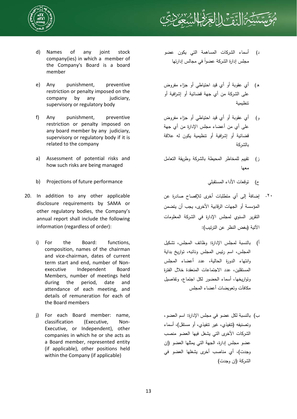

- d) Names of any joint stock company(ies) in which a member of the Company's Board is a board member
- e) Any punishment, preventive restriction or penalty imposed on the company by any iudiciary. supervisory or regulatory body
- f) Any punishment, preventive restriction or penalty imposed on any board member by any judiciary, supervisory or regulatory body if it is related to the company
- a) Assessment of potential risks and how such risks are being managed
- b) Projections of future performance المستقبلي الأداء توقعات) ح
- 20. In addition to any other applicable disclosure requirements by SAMA or other regulatory bodies, the Company's annual report shall include the following information (regardless of order):
	- i) For the Board: functions, composition, names of the chairman and vice-chairman, dates of current term start and end, number of Nonexecutive Independent Board Members, number of meetings held during the period, date and attendance of each meeting, and details of remuneration for each of the Board members
	- j) For each Board member: name, classification (Executive, Non-Executive, or Independent), other companies in which he or she acts as a Board member, represented entity (if applicable), other positions held within the Company (if applicable)

د) أسماء الشركات المساهمة التي يكون عضو مجلس إدارة الشركة عضوا ً في مجالس إدارتها

ر التحقي<sup>م</sup> الج

- ه) أي عقوبة أو أي قيد احتياطي أو جزاء مفروض على الشركة من أي جهة قضائية أو إشرافية أو تنظيمية
- و) أي عقوبة أو أي قيد احتياطي أو جزاء مفروض على أي من أعضاء مجلس الإدارة من أي جهة قضائية أو إشرافية أو تنظيمية يكون له علاقة بالشركة
- ز) تقييم للمخاطر المحيطة بالشركة وطريقة التعامل معها
	-
- ٢٠. إضافةُ إلى أي متطلبات أخرى للإفصاح صادرة عن المؤسسة أو الجهات الرقابية الأخرى، يجب أن يتضمن التقرير السنوي لمجلس الإدارة في الشركة المعلومات الآتية (بغض النظر عن الترتيب):
- أ) بالنسبة لمجلس الإدارة: وظائف المجلس، تشكيل المجلس، اسم رئيس المجلس ونائبه، تواريخ بداية وانتهاء الدورة الحالية، عدد أعضاء المجلس المستقلين، عدد الاجتماعات المنعقدة خلال الفترة وتواريخها، أسماء الحضور لكل اجتماع، وتفاصيل مكافآت وتعويضات أعضاء المجلس
- ب) بالنسبة لكل عضو في مجلس الإدارة: اسم العضو، وتصنيفه (تنفيذي، غير تنفيذي، أو مستقل)، أسماء الشركات الأخرى التي يشغل فيها العضو منصب عضو مجلس إدارة، الجهة التي يمثلها العضو (إن وجدت)، أي مناصب أخرى يشغلها العضو في الشركة (إن وجدت)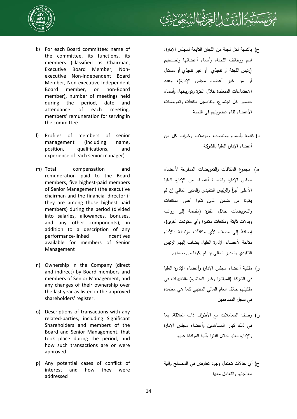



- k) For each Board committee: name of the committee, its functions, its members (classified as Chairman, Executive Board Member, Nonexecutive Non-independent Board Member, Non-executive Independent Board member, or non-Board member), number of meetings held during the period, date and attendance of each meeting, members' remuneration for serving in the committee
- l) Profiles of members of senior management (including name, position, qualifications, and experience of each senior manager)
- m) Total compensation and remuneration paid to the Board members, five highest-paid members of Senior Management (the executive chairman and the financial director if they are among those highest paid members) during the period (divided into salaries, allowances, bonuses, and any other components), in addition to a description of any performance-linked incentives available for members of Senior Management
- n) Ownership in the Company (direct and indirect) by Board members and members of Senior Management, and any changes of their ownership over the last year as listed in the approved shareholders' register.
- o) Descriptions of transactions with any related-parties, including Significant Shareholders and members of the Board and Senior Management, that took place during the period, and how such transactions are or were approved
- p) Any potential cases of conflict of interest and how they were addressed
- ج) بالنسبة لكل لجنة من اللجان التابعة لمجلس الإدارة: اسم ووظائف اللجنة، وأسماء أعضائها وتصنيفهم (رئيس اللجنة أو تنفيذي أو غير تنفيذي أو مستقل أو من غير أعضاء مجلس الإدارة)، وعدد الاجتماعات المنعقدة خلال الفترة وتواريخها، وأسماء حضور كل اجتماع، وتفاصيل مكافآت وتعويضات الأعضاء لقاء عضويتهم في اللجنة
- د) قائمة بأسماء ومناصب ومؤهلات وخبرات كل من أعضاء الإدارة العليا بالشركة
- ه) مجموع المكافآت والتعويضات المدفوعة لأعضاء مجلس الإدارة ولخمسة أعضاء من الإدارة العليا الأعلى أجرا والرئيس التنفيذي والمدير المالي إن لم ً يكونا من ضمن الذين تلقوا أعلى المكافآت والتعويضات خلال الفترة (مقسمة إلى رواتب وبدلات ثابتة ومكافآت متغيرة وأي مكونات أخرى)، ً إضافة إلى وصف لأي مكافآت مرتبطة بالأداء متاحة لأعضاء الإدارة العليا، يضاف إليهم الرئيس التنفيذي والمدير المالي إن لم يكونا من ضمنهم
- و) ملكية أعضاء مجلس الإدارة وأعضاء الإدارة العليا في الشركة (المباشرة وغير المباشرة) والتغييرات في ملكيتهم خلال العام المالي المنتهي كما هي معتمدة في سجل المساهمين
- ز) وصف المعاملات مع الأطراف ذات العلاقة، بما في ذلك كبار المساهمين وأعضاء مجلس الإدارة والإدارة العليا خلال الفترة وآلية الموافقة عليها
- ح) أي حالات تحتمل وجود تعارض في المصالح وآلية معالجتها والتعامل معها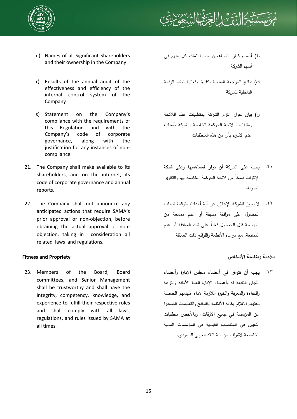



- q) Names of all Significant Shareholders and their ownership in the Company
- r) Results of the annual audit of the effectiveness and efficiency of the internal control system of the Company
- s) Statement on the Company's compliance with the requirements of this Regulation and with the Company's code of corporate governance, along with the justification for any instances of noncompliance
- 21. The Company shall make available to its shareholders, and on the internet, its code of corporate governance and annual reports.
- 22. The Company shall not announce any anticipated actions that require SAMA's prior approval or non-objection, before obtaining the actual approval or nonobjection, taking in consideration all related laws and regulations.

23. Members of the Board, Board committees, and Senior Management shall be trustworthy and shall have the integrity, competency, knowledge, and experience to fulfill their respective roles and shall comply with all laws, regulations, and rules issued by SAMA at all times.

- ط) أسماء كبار المساهمين ونسبة تملك كل منهم في أسهم الشركة
- ك) نتائج المراجعة السنوية لكفاءة وفعالية نظام الرقابة الداخلية للشركة
- ل) بيان حول التزام الشركة بمتطلبات هذه اللائحة ومتطلبات لائحة الحوكمة الخاصة بالشركة وأسباب عدم الالتزام بأي من هذه المتطلبات
- يجب على الشركة أن توفر لمساهميها وعلى شبكة .٢١ الإنترنت نسخا من لائحة الحوكمة الخاصة بها والتقارير السنوية.
- ٢٢. لا يجوز للشركة الإعلان عن أيّة أحداث متوقعة تتطلّب الحصول على موافقة مسبقة أو عدم ممانعة من المؤسسة قبل الحصول فعليا على نلك الموافقة أو عدم الممانعة، مع مراعاة الأنظمة واللوائح ذات العلاقة.

# **ملاءمة ومناسبة الأشخاص Propriety and Fitness**

يجب أن تتوافر في أعضاء مجلس الإدارة وأعضاء .٢٣اللجان التابعة له وأعضاء الإدارة العليا الأمانة والنزاهة والكفاءة والمعرفة والخبرة اللازمة لأداء مهامهم الخاصة وعليهم الالتزام بكافة الأنظمة واللوائح والتعليمات الصادرة عن المؤسسة في جميع الأوقات، وبالأخص متطلبات التعيين في المناصب القيادية في المؤسسات المالية الخاضعة لاشراف مؤسسة النقد العربي السعودي.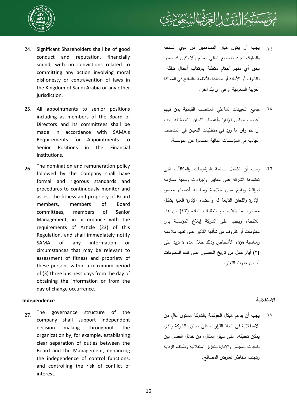



- 24. Significant Shareholders shall be of good conduct and reputation, financially sound, with no convictions related to committing any action involving moral dishonesty or contravention of laws in the Kingdom of Saudi Arabia or any other jurisdiction.
- 25. All appointments to senior positions including as members of the Board of Directors and its committees shall be made in accordance with SAMA's Requirements for Appointments to Senior Positions in the Financial Institutions.
- 26. The nomination and remuneration policy followed by the Company shall have formal and rigorous standards and procedures to continuously monitor and assess the fitness and propriety of Board members, members of Board committees, members of Senior Management, in accordance with the requirements of Article (23) of this Regulation, and shall immediately notify SAMA of any information or circumstances that may be relevant to assessment of fitness and propriety of these persons within a maximum period of (3) three business days from the day of obtaining the information or from the day of change occurrence.

## **الاستقلالية Independence**

27. The governance structure of the company shall support independent decision making throughout the organization by, for example, establishing clear separation of duties between the Board and the Management, enhancing the independence of control functions, and controlling the risk of conflict of interest.

- يجب أن يكون كبار المساهمين من ذوي السمعة والسلوك الجيد والوضع المالي السليم وألا يكون قد صدر بحق أي منهم أحكام متعلقة بارتكاب أعمال مُخّلة بالشرف أو الأمانة أو مخالفة للأنظمة واللوائح في المملكة العربية السعودية أو في أي بلد آخر. .٢٤
- جميع التعيينات لشاغلي المناصب القيادية بمن فيهم أعضاء مجلس الإدارة وأعضاء اللجان التابعة له يجب أن تتم وفق ما ورد في متطلبات التعيين في المناصب القيادية في المؤسسات المالية الصادرة عن المؤسسة. .٢٥
- يجب أن تشتمل سياسة الترشيحات والمكافآت التي .٢٦ تعتمدها الشركة على معابير وإجراءات رسمية صارمة لمراقبة وتقييم مدى ملاءمة ومناسبة أعضاء مجلس الإدارة واللجان التابعة له وأعضاء الإدارة العليا بشكل مستمر، بما يتلاءم مع متطلبات المادة (٢٣) من هذه اللائحة، ويجب على الشركة إبلاغ المؤسسة بأي معلومات أو ظروف من شأنها التأثير على تقييم ملاءمة ومناسبة هؤلاء الأشخاص وذلك خلال مدة لا تزيد على (٣) أيام عمل من تاريخ الحصول على تلك المعلومات أو من حدوث التغيّر .

٢٧. يجب أن يدعم هيكل الحوكمة بالشركة مستوى عالٍ من الاستقلالية في اتخاذ القرارات على مستوى الشركة والذي يمكن تحقيقه، على سبيل المثال، من خلال الفصل بين واجبات المجلس والإدارة وتعزيز استقلالية وظائف الرقابة وتجنب مخاطر تعارض المصالح.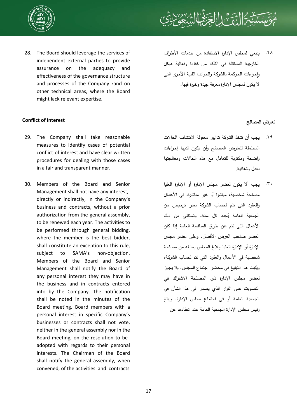



28. The Board should leverage the services of independent external parties to provide assurance on the adequacy and effectiveness of the governance structure and processes of the Company and on other technical areas, where the Board might lack relevant expertise.

# **Conflict of Interest المصالح تعارض**

- 29. The Company shall take reasonable measures to identify cases of potential conflict of interest and have clear written procedures for dealing with those cases in a fair and transparent manner.
- 30. Members of the Board and Senior Management shall not have any interest, directly or indirectly, in the Company's business and contracts, without a prior authorization from the general assembly, to be renewed each year. The activities to be performed through general bidding, where the member is the best bidder, shall constitute an exception to this rule, subject to SAMA's non-objection. Members of the Board and Senior Management shall notify the Board of any personal interest they may have in the business and in contracts entered into by the Company. The notification shall be noted in the minutes of the Board meeting. Board members with a personal interest in specific Company's businesses or contracts shall not vote, neither in the general assembly nor in the Board meeting, on the resolution to be adopted with regards to their personal interests. The Chairman of the Board shall notify the general assembly, when convened, of the activities and contracts

ينبغي لمجلس الإدارة الاستفادة من خدمات الأطراف الخارجية المستقلة في التأكد من كفاءة وفعالية هيكل واجراءات الحوكمة بالشركة والجوانب الفنبة الأخرى التي لا يكون لمجلس الإدارة معرفة جيدة وخبرة فيها. .٢٨

- يجب أن تتخذ الشركة تدابير معقولة لاكتشاف الحالات .٢٩ المحتملة لتعارض المصالح وأن يكون لديها إجراءات واضحة ومكتوبة للتعامل مع هذه الحالات ومعالجتها بعدل وشفافية.
- يجب ألا يكون لعضو مجلس الإدارة أو الإدارة العليا مصلحة شخصية، مباشرة أو غير مباشرة، في الأعمال والعقود التي تتم لحساب الشركة بغير ترخيص من الجمعية العامة يُجدد كل سنة، وتستثنى من ذلك الأعمال التي تتم عن طريق المنافسة العامة إذا كان العضو صاحب العرض الأفضل. وعلى عضو مجلس الإدارة أو الإدارة العليا إبلاغ المجلس بما له من مصلحة شخصية في الأعمال والعقود التي تتم لحساب الشركة، ُثبت هذا التبليغ في محضر اجتماع المجلس. ولا يجوز وي لعضو مجلس الإدارة ذي المصلحة الاشتراك في التصويت على القرار الذي يصدر في هذا الشأن في الجمعية العامة أو في اجتماع مجلس الإدارة. ويبلغ رئيس مجلس الإدارة الجمعية العامة عند انعقادها عن .٣٠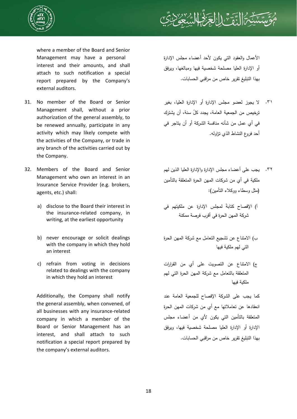



where a member of the Board and Senior Management may have a personal interest and their amounts, and shall attach to such notification a special report prepared by the Company's external auditors.

- 31. No member of the Board or Senior Management shall, without a prior authorization of the general assembly, to be renewed annually, participate in any activity which may likely compete with the activities of the Company, or trade in any branch of the activities carried out by the Company.
- 32. Members of the Board and Senior Management who own an interest in an Insurance Service Provider (e.g. brokers, agents, etc.) shall:
	- a) disclose to the Board their interest in the insurance-related company, in writing, at the earliest opportunity
	- b) never encourage or solicit dealings with the company in which they hold an interest
	- c) refrain from voting in decisions related to dealings with the company in which they hold an interest

Additionally, the Company shall notify the general assembly, when convened, of all businesses with any insurance-related company in which a member of the Board or Senior Management has an interest, and shall attach to such notification a special report prepared by the company's external auditors.

الأعمال والعقود التي يكون لأحد أعضاء مجلس الإدارة أو الإدارة العليا مصلحة شخصية فيها ومبالغها، ويرفق بهذا التبليغ تقرير خاص من مراقبي الحسابات.

- ٣١. لا يجوز لعضو مجلس الإدارة أو الإدارة العليا، بغير ترخيص من الجمعية العامة، يجدد ّكل سنة، أن يشترك في أي عمل من شأنه منافسة الشركة أو أن يتاجر في أحد فروع النشاط الذي تزاوله.
- يجب على أعضاء مجلس الإدارة والإدارة العليا الذين لهم .٣٢ ملكية في أي من شركات المهن الحرة المتعلقة بالتأمين (مثل وسطاء ووكلاء التأمين):
- أ) الإفصاح كتابة لمجلس الإدارة عن ملكيتهم في شركة المهن الحرة في أقرب فرصة ممكنة
- ب) الامتناع عن تشجيع التعامل مع شركة المهن الحرة التي لهم ملكية فيها
- ج) الامتناع عن التصويت على أي من القرارات المتعلقة بالتعامل مع شركة المهن الحرة التي لهم ملكية فيها

كما يجب على الشركة الإفصاح للجمعية العامة عند انعقادها عن تعاملاتها مع أي من شركات المهن الحرة المتعلقة بالتأمين التي يكون لأي من أعضاء مجلس الإدارة أو الإدارة العليا مصلحة شخصية فيها، ويرفق بهذا التبليغ تقرير خاص من مراقبي الحسابات.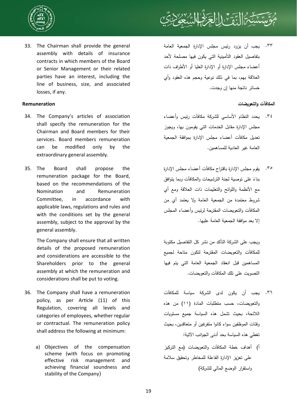



33. The Chairman shall provide the general assembly with details of insurance contracts in which members of the Board or Senior Management or their related parties have an interest, including the line of business, size, and associated losses, if any.

- 34. The Company's articles of association shall specify the remuneration for the Chairman and Board members for their services. Board members remuneration can be modified only by the extraordinary general assembly.
- 35. The Board shall propose the remuneration package for the Board, based on the recommendations of the Nomination and Remuneration Committee, in accordance with applicable laws, regulations and rules and with the conditions set by the general assembly, subject to the approval by the general assembly.

The Company shall ensure that all written details of the proposed remuneration and considerations are accessible to the Shareholders prior to the general assembly at which the remuneration and considerations shall be put to voting.

- 36. The Company shall have a remuneration policy, as per Article (11) of this Regulation, covering all levels and categories of employees, whether regular or contractual. The remuneration policy shall address the following at minimum:
	- a) Objectives of the compensation scheme (with focus on promoting effective risk management and achieving financial soundness and stability of the Company)

يجب أن يزود رئيس مجلس الإدارة الجمعية العامة .٣٣ بتفاصيل العقود التأمينية التي يكون فيها مصلحة لأحد أعضاء مجلس الإدارة أو الإدارة العليا أو الأطراف ذات العلاقة بهم، بما في ذلك نوعية وحجم هذه العقود وأي خسائر ناتجة منها إن وجدت.

## **المكافآت والتعويضات Remuneration**

- يحدد النظام الأساسي للشركة مكافآت رئيس وأعضاء .٣٤ مجلس الإدارة مقابل الخدمات التي يقومون بها، ويجوز تعديل مكافآت أعضاء مجلس الإدارة بموافقة الجمعية العامة غير العادية للمساهمين.
- يقوم مجلس الإدارة باقتراح مكافآت أعضاء مجلس الإدارة .٣٥ بناءً على توصية لجنة الترشيحات والمكافات وبما يتوافق مع الأنظمة واللوائح والتعليمات ذات العلاقة ومع أي شروط معتمدة من الجمعية العامة ولا يعتمد أي من المكافآت والتعويضات المقترحة لرئيس وأعضاء المجلس إلا بعد موافقة الجمعية العامة عليها.

ويجب على الشركة التأكد من نشر كل التفاصيل مكتوبة للمكافآت والتعويضات المقترحة لتكون متاحة لجميع المساهمين قبل انعقاد الجمعية العامة التي يتم فيها التصويت على تلك المكافآت والتعويضات.

- يجب أن يكون لدى الشركة سياسة للمكافآت .٣٦ والتعويضات، حسب متطلبات المادة (١١) من هذه اللائحة، بحيث تشمل هذه السياسة جميع مستويات وفئات الموظفين سواء كانوا متفرغين أو متعاقدين، بحيث تغطي هذه السياسة بحد أدنى الجوانب الآتية:
- أ) أهداف خطة المكافآت والتعويضات (مع التركيز على تعزيز الإدارة الفاعلة للمخاطر وتحقيق سلامة واستقرار الوضع المالي للشركة)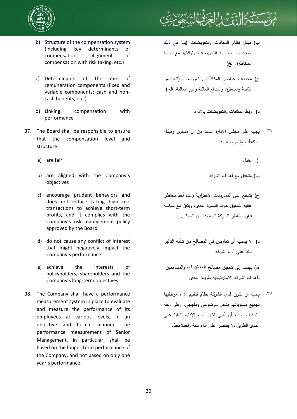



- b) Structure of the compensation system (including key determinants of compensation, alignment of compensation with risk taking, etc.)
- c) Determinants of the mix of remuneration components (fixed and variable components; cash and noncash benefits, etc.)
- d) Linking compensation with performance
- 37. The Board shall be responsible to ensure that the compensation level and structure:
	- a) are fair عادل) أ
	- b) are aligned with the Company's objectives
	- c) encourage prudent behaviors and does not induce taking high risk transactions to achieve short-term profits, and it complies with the Company's risk management policy approved by the Board
	- d) do not cause any conflict of interest that might negatively impact the Company's performance
	- e) achieve the interests of policyholders, shareholders and the Company's long-term objectives
- 38. The Company shall have a performance measurement system in place to evaluate and measure the performance of its employees at various levels, in an objective and formal manner. The performance measurement of Senior Management, in particular, shall be based on the longer-term performance of the Company, and not based on only one year's performance.
- ب) هيكل نظام المكافآت والتعويضات (بما في ذلك المحددات الرئيسية للتعويضات وتوافقها مع درجة المخاطرة، الخ)
- ج) محددات عناصر المكافآت والتعويضات (العناصر الثابتة والمتغيّرة، والمنافع المالية وغير المالية، الخ)
	- د) ربط المكافآت والتعويضات بالأداء
- يجب على مجلس الإدارة التأكد من أن مستوى وهيكل المكافآت والتعويضات: .٣٧
	-
	- ب) متوافق مع أهداف الشركة
- ج) يشجع على الممارسات الاحترازية وعدم أخذ مخاطر عالية لتحقيق عوائد قصيرة المدى، ويتفق مع سياسة إدارة مخاطر الشركة المعتمدة من المجلس
- د) لا يسبب أي تعارض في المصالح من شأنه التأثير ً على أداء الشركة سلبا

ه) يهدف إلى تحقيق مصالح ّ المؤمن لھم والمساهمين وأهداف الشركة الاستراتيجية طويلة المدى

٣٨. يجب أن يكون لدى الشركة نظام لتقييم أداء موظفيها بجميع مستوياتهم بشكل موضوعي ومنهجي. وعلى وجه التحديد، يجب أن يُبنى تقييم أداء الإدارة العليا على المدى الطويل ولا يقتصر على أداء سنة واحدة فقط.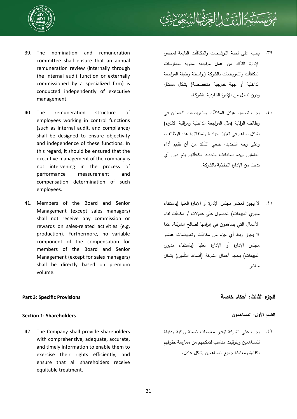



- 39. The nomination and remuneration committee shall ensure that an annual remuneration review (internally through the internal audit function or externally commissioned by a specialized firm) is conducted independently of executive management.
- 40. The remuneration structure of employees working in control functions (such as internal audit, and compliance) shall be designed to ensure objectivity and independence of these functions. In this regard, it should be ensured that the executive management of the company is not intervening in the process of performance measurement and compensation determination of such employees.
- 41. Members of the Board and Senior Management (except sales managers) shall not receive any commission or rewards on sales-related activities (e.g. production). Furthermore, no variable component of the compensation for members of the Board and Senior Management (except for sales managers) shall be directly based on premium volume.

# يجب على لجنة الترشيحات والمكافآت التابعة لمجلس .٣٩ الإدارة التأكد من عمل مراجعة سنوية لممارسات المكافآت والتعويضات بالشركة (بواسطة وظيفة المراجعة الداخلية أو جهة خارجية متخصصة) بشكل مستقل ودون تدخل من الإدارة التنفيذية بالشركة.

- يجب تصميم هيكل المكافآت والتعويضات للعاملين في .٤٠ وظائف الرقابة (مثل المراجعة الداخلية ومراقبة الالتزام) بشكل يساهم في تعزيز حيادية واستقلالية هذه الوظائف. وعلى وجه التحديد، ينبغي التأكد من أن تقييم أداء العاملين بهذه الوظائف وتحديد مكافآتهم يتم دون أي تدخل من الإدارة التنفيذية بالشركة.
- لا يجوز لعضو مجلس الإدارة أو الإدارة العليا (باستثناء .٤١ مديري المبيعات) الحصول على عمولات أو مكافآت لقاء الأعمال التي يساهمون في إبرامها لصالح الشركة. كما لا يجوز ربط أي جزء من مكافآت وتعويضات عضو مجلس الإدارة أو الإدارة العليا (باستثناء مديري المبيعات) بحجم أعمال الشركة (أقساط التأمين) بشكل مباشر.

# **الجزء الثالث: أحكام خاصة Provisions Specific 3: Part**

يجب على الشركة توفير معلومات شاملة ووافية ودقيقة .٤٢للمساهمين وبتوقيت مناسب لتمكينهم من ممارسة حقوقهم بكفاءة ومعاملة جميع المساهمين بشكل عادل.

# **القسم الأول: المساهمون Shareholders 1: SecƟon**

42. The Company shall provide shareholders with comprehensive, adequate, accurate, and timely information to enable them to exercise their rights efficiently, and ensure that all shareholders receive equitable treatment.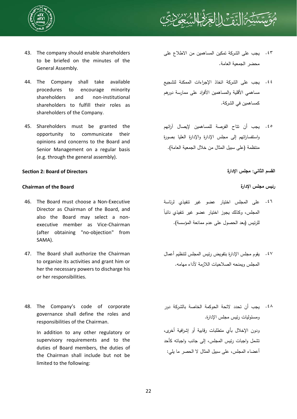

# ١

- 43. The company should enable shareholders to be briefed on the minutes of the General Assembly.
- 44. The Company shall take available procedures to encourage minority shareholders and non-institutional shareholders to fulfill their roles as shareholders of the Company.
- 45. Shareholders must be granted the opportunity to communicate their opinions and concerns to the Board and Senior Management on a regular basis (e.g. through the general assembly).

# **القسم الثاني: مجلس الإدارة Directors of Board 2: SecƟon**

# **Chairman of the Board الإدارة مجلس رئيس**

- 46. The Board must choose a Non-Executive Director as Chairman of the Board, and also the Board may select a nonexecutive member as Vice-Chairman (after obtaining "no-objection" from SAMA).
- 47. The Board shall authorize the Chairman to organize its activities and grant him or her the necessary powers to discharge his or her responsibilities.
- 48. The Company's code of corporate governance shall define the roles and responsibilities of the Chairman.

In addition to any other regulatory or supervisory requirements and to the duties of Board members, the duties of the Chairman shall include but not be limited to the following:

- يجب على الشركة تمكين المساهمين من الاطلاع على .٤٣ محضر الجمعية العامة.
- يجب على الشركة اتخاذ الإجراءات الممكنة لتشجيع .٤٤ مساهمي الأقلية والمساهمين الأفراد على ممارسة دورهم كمساهمين في الشركة.
- يجب أن تتاح الفرصة للمساهمين لإيصال آرائهم .٤٥ واستفساراتهم إلى مجلس الإدارة والإدارة العليا بصورة منتظمة (على سبيل المثال من خلال الجمعية العامة).

- على المجلس اختيار عضو غير تنفيذي لرئاسة .٤٦ ً المجلس، وكذلك يجوز اختيار ع ضو غير تنفيذي نائبا للرئيس (بعد الحصول على عدم ممانعة المؤسسة).
- يقوم مجلس الإدارة بتفويض رئيس المجلس لتنظيم أعمال .٤٧ المجلس ويمنحه الصلاحيات اللازمة لأداء مهامه.
- يجب أن تحدد لائحة الحوكمة الخاصة بالشركة دور .٤٨ومسئوليات رئيس مجلس الإدارة.

ودون الإخلال بأي متطلبات رقابية أو إشرافية أخرى، تشمل واجبات رئيس المجلس، إلى جانب واجباته كأحد أعضاء المجلس، على سبيل المثال لا الحصر ما يلي: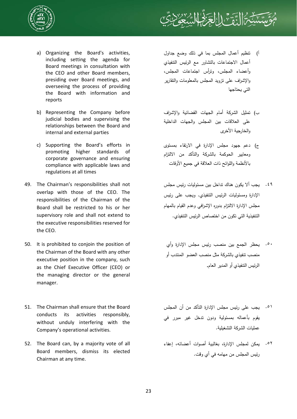



- a) Organizing the Board's activities, including setting the agenda for Board meetings in consultation with the CEO and other Board members, presiding over Board meetings, and overseeing the process of providing the Board with information and reports
- b) Representing the Company before judicial bodies and supervising the relationships between the Board and internal and external parties
- c) Supporting the Board's efforts in promoting higher standards of corporate governance and ensuring compliance with applicable laws and regulations at all times
- 49. The Chairman's responsibilities shall not overlap with those of the CEO. The responsibilities of the Chairman of the Board shall be restricted to his or her supervisory role and shall not extend to the executive responsibilities reserved for the CEO.
- 50. It is prohibited to conjoin the position of the Chairman of the Board with any other executive position in the company, such as the Chief Executive Officer (CEO) or the managing director or the general manager.
- 51. The Chairman shall ensure that the Board conducts its activities responsibly, without unduly interfering with the Company's operational activities.
- 52. The Board can, by a majority vote of all Board members, dismiss its elected Chairman at any time.
- أ) تنظيم أعمال المجلس بما في ذلك وضع جداول أعمال الاجتماعات بالتشاور مع الرئيس التنفيذي وأعضاء المجلس، وترأس اجتماعات المجلس، والإشراف على تزويد المجلس بالمعلومات والتقارير التي يحتاجها
- ب) تمثيل الشركة أمام الجهات القضائية والإشراف على العلاقات بين المجلس والجهات الداخلية والخارجية الأخرى
- ج) دعم جهود مجلس الإدارة في الارتقاء بمستوى ومعايير الحوكمة بالشركة والتأكد من الالتزام بالأنظمة واللوائح ذات العلاقة في جميع الأوقات
- يجب ألا يكون هناك تداخل بين مسئوليات رئيس مجلس .٤٩ الإدارة ومسئوليات الرئيس التنفيذي. ويجب على رئيس مجلس الإدارة الالتزام بدوره الإشرافي وعدم القيام بالمهام التنفيذية التي تكون من اختصاص الرئيس التنفيذي.
- يحظر الجمع بين منصب رئيس مجلس الإدارة وأي .٥٠ منصب تنفيذي بالشركة مثل منصب العضو المنتدب أو الرئيس التنفيذي أو المدير العام**.**
- يجب على رئيس مجلس الإدارة التأكد من أن المجلس .٥١ يقوم بأعماله بمسئولية ودون تدخل غير مبرر في عمليات الشركة التشغيلية.
- يمكن لمجلس الإدارة، بغالبية أصوات أعضائه، إعفاء .٥٢رئيس المجلس من مهامه في أي وقت.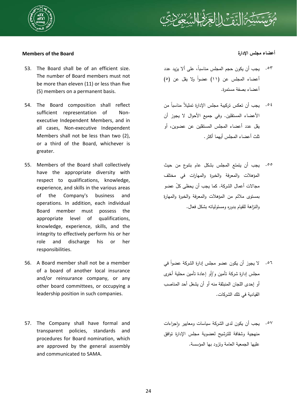

# **Members of the Board الإدارة مجلس أعضاء**

- 53. The Board shall be of an efficient size. The number of Board members must not be more than eleven (11) or less than five (5) members on a permanent basis.
- 54. The Board composition shall reflect sufficient representation of Nonexecutive Independent Members, and in all cases, Non-executive Independent Members shall not be less than two (2), or a third of the Board, whichever is greater.
- 55. Members of the Board shall collectively have the appropriate diversity with respect to qualifications, knowledge, experience, and skills in the various areas of the Company's business and operations. In addition, each individual Board member must possess the appropriate level of qualifications, knowledge, experience, skills, and the integrity to effectively perform his or her role and discharge his or her responsibilities.
- 56. A Board member shall not be a member of a board of another local insurance and/or reinsurance company, or any other board committees, or occupying a leadership position in such companies.
- 57. The Company shall have formal and transparent policies, standards and procedures for Board nomination, which are approved by the general assembly and communicated to SAMA.

- ،ً على ألا يزيد عدد يجب أن يكون حجم المجلس مناسبا .٥٣ أعضاء المجلس عن (١١) عضواً ولا يقل عن (٥) أعضاء بصفة مستمرة.
- ً من ً مناسبا يجب أن تعكس تركيبة مجلس الإدارة تمثيلا .٥٤ الأعضاء المستقلين. وفي جميع الأحوال لا يجوز أن يقل عدد أعضاء المجلس المستقلين عن عضوين، أو ثلث أعضاء المجلس أيهما أكثر.
- يجب أن يتمتع المجلس بشكل عام بتنوع من حيث .٥٥ المؤهلات والمعرفة والخبرة والمهارات في مختلف مجالات أعمال الشركة. كما يجب أن يحظى ّكل عضو بمستوى ملائم من المؤهلات والمعرفة والخبرة والمهارة والنزاهة للقيام بدوره ومسئولياته بشكل فعال.

- ً في لا يجوز أن يكون عضو مجلس إدارة الشركة عضوا .٥٦ مجلس إدارة شركة تأمين و/أو إعادة تأمين محلية أخرى أو إحدى اللجان المنبثقة منه أو أن يشغل أحد المناصب القيادية في تلك الشركات.
- ٥٧. يجب أن يكون لدى الشركة سياسات ومعايير وإجراءات منهجية وشفافة للترشيح لعضوية مجلس الإدارة توافق عليها الجمعية العامة وتزود بها المؤسسة.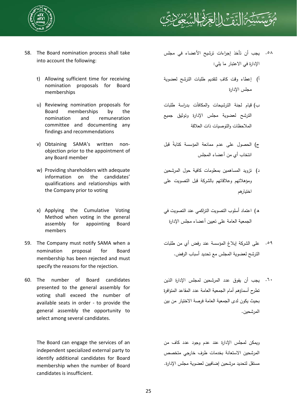



- 58. The Board nomination process shall take into account the following:
	- t) Allowing sufficient time for receiving nomination proposals for Board memberships
	- u) Reviewing nomination proposals for Board memberships by the nomination and remuneration committee and documenting any findings and recommendations
	- v) Obtaining SAMA's written nonobjection prior to the appointment of any Board member
	- w) Providing shareholders with adequate information on the candidates' qualifications and relationships with the Company prior to voting
	- x) Applying the Cumulative Voting Method when voting in the general assembly for appointing Board members
- 59. The Company must notify SAMA when a nomination proposal for Board membership has been rejected and must specify the reasons for the rejection.
- 60. The number of Board candidates presented to the general assembly for voting shall exceed the number of available seats in order - to provide the general assembly the opportunity to select among several candidates.

The Board can engage the services of an independent specialized external party to identify additional candidates for Board membership when the number of Board candidates is insufficient.

- يجب أن تأخذ إجراءات ترشيح الأعضاء في مجلس الإدارة في الاعتبار ما يلي: .٥٨
- أ) إعطاء وقت كافٍ لنقديم طلبات الترشح لعضوية مجلس الإدارة
- ب) قيام لجنة الترشيحات والمكافآت بدراسة طلبات الترشح لعضوية مجلس الإدارة وتوثيق جميع الملاحظات والتوصيات ذات العلاقة
- ج) الحصول على عدم ممانعة المؤسسة كتابة قبل انتخاب أي من أعضاء المجلس
- د) تزويد المساهمين بمعلومات كافية حول المرشحين ومؤهلاتهم وعلاقاتهم بالشركة قبل التصويت على اختيارهم
- ه) اعتماد أسلوب التصويت التراكمي عند التصويت في الجمعية العامة على تعيين أعضاء مجلس الإدارة
- على الشركة إبلاغ المؤسسة عند رفض أي من طلبات .٥٩ الترشح لعضوية المجلس مع تحديد أسباب الرفض.
- يجب أن يفوق عدد المرشحين لمجلس الإدارة الذين .٦٠ تطرح أسماؤهم أمام الجمعية العامة عدد المقاعد المتوافرة بحيث يكون لدى الجمعية العامة فرصة الاختيار من بين المرشحين.

ويمكن لمجلس الإدارة عند عدم وجود عدد كاف من المرشحين الاستعانة بخدمات طرف خارجي متخصص مستقل لتحديد مرشحين إضافيين لعضوية مجلس الإدارة.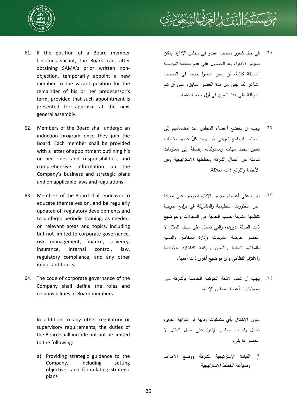



- 61. If the position of a Board member becomes vacant, the Board can, after obtaining SAMA's prior written nonobjection, temporarily appoint a new member to the vacant position for the remainder of his or her predecessor's term, provided that such appointment is presented for approval at the next general assembly.
- 62. Members of the Board shall undergo an induction program once they join the Board. Each member shall be provided with a letter of appointment outlining his or her roles and responsibilities, and comprehensive information on the Company's business and strategic plans and on applicable laws and regulations.
- 63. Members of the Board shall endeavor to educate themselves on, and be regularly updated of, regulatory developments and to undergo periodic training, as needed, on relevant areas and topics, including but not limited to corporate governance, risk management, finance, solvency, insurance, internal control, law, regulatory compliance, and any other important topics.
- 64. The code of corporate governance of the Company shall define the roles and responsibilities of Board members.

In addition to any other regulatory or supervisory requirements, the duties of the Board shall include but not be limited to the following:

 a) Providing strategic guidance to the Company, including setting objectives and formulating strategic plans

- في حال شغور منصب عضو في مجلس الإدارة، يمكن .٦١ لمجلس الإدارة، بعد الحصول على عدم ممانعة المؤسسة المسبقة كتابة، أن يعين عضوا جديدا في المنصب الشاغر لما تبقى من مدة العضو السابق، على أن تتم الموافقة على هذا التعيين في أول جمعية عامة.
- يجب أن يخضع أعضاء المجلس عند انضمامهم إلى .٦٢ المجلس لبرنامج تعريفي وأن يزود ّكل عضو بخطاب تعيين يحدد مهامه ومسئولياته إضافة إلى معلومات شاملة عن أعمال الشركة وخططها الإستراتيجية وعن الأنظمة واللوائح ذات العلاقة.
- يجب على أعضاء مجلس الإدارة الحرص على معرفة .٦٣ آخر التطورات التنظيمية والمشاركة في برامج تدريبية تنظمها الشركة حسب الحاجة في المجالات والمواضيع ذات الصلة بدورهم، والتي تشمل على سبيل المثال لا الحصر حوكمة الشركات وإدارة المخاطر والمالية والملاءة المالية والتأمين والرقابة الداخلية والأنظمة والالتزام النظامي وأي مواضيع أخرى ذات أهمية.
- يجب أن تحدد لائحة الحوكمة الخاصة بالشركة دور .٦٤ ومسئوليات أعضاء مجلس الإدارة.

ودون الإخلال بأي متطلبات رقابية أو إشرافية أخرى، تشمل واجبات مجلس الإدارة على سبيل المثال لا الحصر ما يلي:

أ) القيادة الإستراتيجية للشركة ووضع الأهداف وصياغة الخطط الإستراتيجية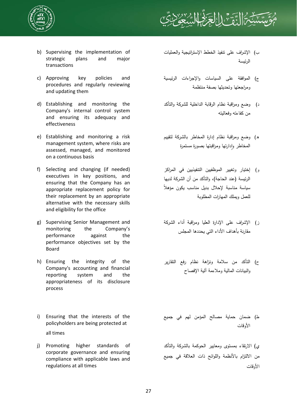



- b) Supervising the implementation of strategic plans and major transactions
- c) Approving key policies and procedures and regularly reviewing and updating them
- d) Establishing and monitoring the Company's internal control system and ensuring its adequacy and effectiveness
- e) Establishing and monitoring a risk management system, where risks are assessed, managed, and monitored on a continuous basis
- f) Selecting and changing (if needed) executives in key positions, and ensuring that the Company has an appropriate replacement policy for their replacement by an appropriate alternative with the necessary skills and eligibility for the office
- g) Supervising Senior Management and monitoring the Company's performance against the performance objectives set by the Board
- h) Ensuring the integrity of the Company's accounting and financial reporting system and the appropriateness of its disclosure process
- i) Ensuring that the interests of the policyholders are being protected at all times
- j) Promoting higher standards of corporate governance and ensuring compliance with applicable laws and regulations at all times
- ب) الإشراف على تنفيذ الخطط الإستراتيجية والعمليات الرئيسة
- ج) الموافقة على السياسات والإجراءات الرئيسية ومراجعتها وتحديثها بصفة منتظمة
- د) وضع ومراقبة نظام الرقابة الداخلية للشركة والتأكد من كفاءته وفعاليته
- ه) وضع ومراقبة نظام إدارة المخاطر بالشركة لتقييم المخاطر وادارتها ومراقبتها بصورة مستمرة
- و) إختيار وتغيير الموظفيين التنفيذيين في المراكز الرئيسة (عند الحاجة)، والتأكد من أن الشركة لديها ً سياسة مناسبة لإحلال بديل مناسب يكون مؤهلا للعمل ويملك المهارات المطلوبة
- ز) الإشراف على الإدارة العليا ومراقبة أداء الشركة مقارنة بأهداف الأداء التي يحددها المجلس
- ح) التأكد من سلامة ونزاهة نظام رفع التقارير والبيانات المالية وملاءمة آلية الإفصاح
- ط) ضمان حماية مصالح المؤمن لهم في جميع الأوقات

ي) الارتقاء بمستوى ومعايير الحوكمة بالشركة والتأكد من الالتزام بالأنظمة واللوائح ذات العلاقة في جميع الأوقات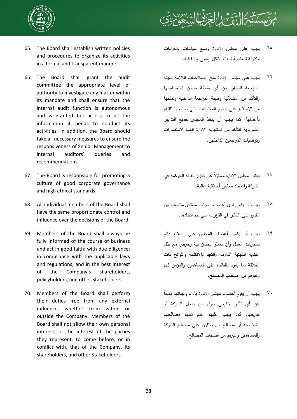



- 65. The Board shall establish written policies and procedures to organize its activities in a formal and transparent manner.
- 66. The Board shall grant the audit committee the appropriate level of authority to investigate any matter within its mandate and shall ensure that the internal audit function is autonomous and is granted full access to all the information it needs to conduct its activities. In addition, the Board should take all necessary measures to ensure the responsiveness of Senior Management to internal auditors' queries and recommendations.
- 67. The Board is responsible for promoting a culture of good corporate governance and high ethical standards.
- 68. All individual members of the Board shall have the same proportionate control and influence over the decisions of the Board.
- 69. Members of the Board shall always be fully informed of the course of business and act in good faith; with due diligence; in compliance with the applicable laws and regulations; and in the best interest of the Company's shareholders, policyholders, and other Stakeholders.
- 70. Members of the Board shall perform their duties free from any external influence, whether from within or outside the Company. Members of the Board shall not allow their own personal interest, or the interest of the parties they represent, to come before, or in conflict with, that of the Company, its shareholders, and other Stakeholders.
- جب على مجلس الإدارة وضع سياسات وإجراءات مكتوبة لتنظيم أنشطته بشكل رسمي وبشفافية. .٦٥
- يجب على مجلس الإدارة منح الصلاحيات اللازمة للجنة .٦٦ المراجعة للتحقق من أي مسألة ضمن اختصاصها والتأكد من استقلالية وظيفة المراجعة الداخلية وتمكنها من الاطلاع على جميع المعلومات التي تحتاجها للقيام بأعمالها. كما يجب أن يتخذ المجلس جميع التدابير الضرورية للتأكد من استجابة الإدارة العليا لاستفسارات وتوصيات المراجعين الداخليين.
- بعتبر مجلس الإدارة مسئولا عن تعزيز ثقافة الحوكمة في الشركة واعتماد معايير أخلاقية عالية. .٦٧
- يجب أن يكون لدى أعضاء المجلس مستوى متناسب من القدرة على التأثير في القرارات التي يتم اتخاذها. .٦٨
- يجب أن يكون أعضاء المجلس على اطلاع دائم بمجريات العمل وأن يعملوا بحسن نية وحرص مع بذل العناية المهنية اللازمة والتقيد بالأنظمة واللوائح ذات العلاقة بما يعود بالفائدة على المساهمين والمؤمن لهم وغيرهم من أصحاب المصالح. .٦٩
- ً يجب أن يقوم أعضاء مجلس الإدارة بأداء واجباتهم بعيدا .٧٠عن أي تأثير خارجي سواء من داخل الشركة أو خارجها. كما يجب عليهم عدم تقديم مصالحهم الشخصية أو مصالح من يمثلون على مصالح الشركة والمساهمين وغيرهم من أصحاب المصالح.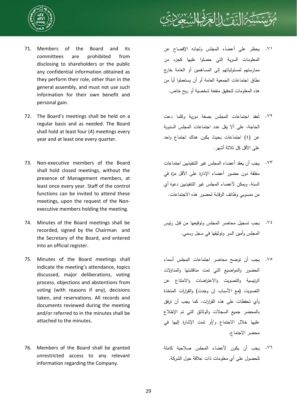



- 71. Members of the Board and its committees are prohibited from disclosing to shareholders or the public any confidential information obtained as they perform their role, other than in the general assembly, and must not use such information for their own benefit and personal gain.
- 72. The Board's meetings shall be held on a regular basis and as needed. The Board shall hold at least four (4) meetings every year and at least one every quarter.
- 73. Non-executive members of the Board shall hold closed meetings, without the presence of Management members, at least once every year. Staff of the control functions can be invited to attend these meetings, upon the request of the Nonexecutive members holding the meeting.
- 74. Minutes of the Board meetings shall be recorded, signed by the Chairman and the Secretary of the Board, and entered into an official register.
- 75. Minutes of the Board meetings shall indicate the meeting's attendance, topics discussed, major deliberations, voting process, objections and abstentions from voting (with reasons if any), decisions taken, and reservations. All records and documents reviewed during the meeting and/or referred to in the minutes shall be attached to the minutes.
- 76. Members of the Board shall be granted unrestricted access to any relevant information regarding the Company.
- يحظر على أعضاء المجلس ولجانه الإفصاح عن .٧١ المعلومات السرية التي حصلوا عليها كجزء من ممارستهم لمسئولياتهم إلى المساهمين أو العامة خارج نطاق اجتماعات الجمعية العامة أو أن يستعملوا أيا من هذه المعلومات لتحقيق منفعة شخصية أو ربح خاص.
- ُعقد اجتماعات المجلس بصفة دورية وكلما دعت ت .٧٢ الحاجة، على ألا يقل عدد اجتماعات المجلس السنوية عن (٤) اجتماعات بحيث يكون هناك اجتماع واحد على الأقل كل ثلاثة أشهر.
- يجب أن يعقد أعضاء المجلس غير التنفيذيين اجتماعات .٧٣ مغلقة دون حضور أعضاء الإدارة على الأقل مرّة في السنة. ويمكن لأعضاء المجلس غير التنفيذيين دعوة أي من منسوبي وظائف الرقابة لحضور هذه الاجتماعات.
- يجب تسجيل محاضر المجلس وتوقيعها من قبل رئيس .٧٤ المجلس وأمين السر وتوثيقها في سجل رسمي.
- يجب أن توضح محاضر اجتماعات المجلس أسماء الحضور والمواضيع التي تمت مناقشتها والمداولات الرئيسية والتصويت والاعتراضات والامتناع عن التصويت (مع الأسباب إن وجدت) والقرارات المتخذة وأي تحفظات على هذه القرارات. كما يجب أن ترفق بالمحضر جميع السجلات والوثائق التي تم الإطلاع عليها خلال الاجتماع و/أو تمت الإشارة إليها في محضر الاجتماع. .٧٥
- يجب أن يكون لأعضاء المجلس صلاحية كاملة .٧٦للحصول على أي معلومات ذات علاقة حول الشركة.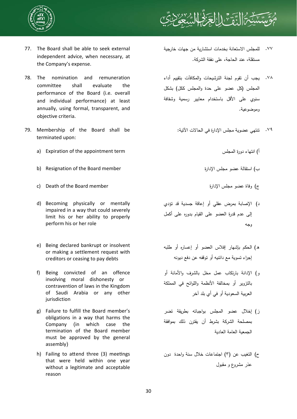



- 77. The Board shall be able to seek external independent advice, when necessary, at the Company's expense.
- 78. The nomination and remuneration committee shall evaluate the performance of the Board (i.e. overall and individual performance) at least annually, using formal, transparent, and objective criteria.
- 79. Membership of the Board shall be terminated upon:
	- a) Expiration of the appointment term المجلس دورة انتهاء) أ
	- b) Resignation of the Board member الإدارة مجلس عضو استقالة) ب
	- c) Death of the Board member الإدارة مجلس عضو وفاة) ج
	- d) Becoming physically or mentally impaired in a way that could severely limit his or her ability to properly perform his or her role
	- e) Being declared bankrupt or insolvent or making a settlement request with creditors or ceasing to pay debts
	- f) Being convicted of an offence involving moral dishonesty or contravention of laws in the Kingdom of Saudi Arabia or any other jurisdiction
	- g) Failure to fulfill the Board member's obligations in a way that harms the Company (in which case the termination of the Board member must be approved by the general assembly)
	- h) Failing to attend three (3) meetings that were held within one year without a legitimate and acceptable reason
- للمجلس الاستعانة بخدمات استشارية من جهات خارجية مستقلة، عند الحاجة، على نفقة الشركة. .٧٧
- يجب أن تقوم لجنة الترشيحات والمكافآت بتقييم أداء .٧٨ المجلس (كل عضو على حدة والمجلس ككل) بشكل سنوي على الأقل باستخدام معايير رسمية وشفافة وموضوعية.
	- .٧٩ تنتهي عضوية مجلس الإدارة في الحالات الآتية:

- -
- د) الإصابة بمرض عقلي أو إعاقة جسدية قد تؤدي إلى عدم قدرة العضو على القيام بدوره على أكمل وجه
- ه) الحكم بإشهار إفلاس العضو أو إعساره أو طلبه إجراء تسوية مع دائنيه أو توقفه عن دفع ديونه
- و) الإدانة بارتكاب عمل مخل بالشرف والأمانة أو بالتزوير أو بمخالفة الأنظمة واللوائح في المملكة العربية السعودية أو في أي بلد آخر
- ز) إخلال عضو المجلس بواجباته بطريقة تضر بمصلحة الشركة بشرط أن يقترن ذلك بموافقة الجمعية العامة العادية
- ح) التغيب عن (٣) اجتماعات خلال سنة واحدة دون عذر مشروع و مقبول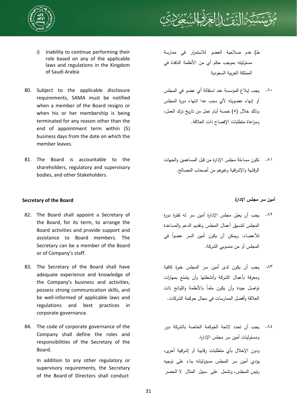



- i) Inability to continue performing their role based on any of the applicable laws and regulations in the Kingdom of Saudi Arabia
- 80. Subject to the applicable disclosure requirements, SAMA must be notified when a member of the Board resigns or when his or her membership is being terminated for any reason other than the end of appointment term within (5) business days from the date on which the member leaves.
- 81. The Board is accountable to the shareholders, regulatory and supervisory bodies, and other Stakeholders.

## **أمين سر مجلس الإدارة Board the of Secretary**

- 82. The Board shall appoint a Secretary of the Board, for its term, to arrange the Board activities and provide support and assistance to Board members. The Secretary can be a member of the Board or of Company's staff.
- 83. The Secretary of the Board shall have adequate experience and knowledge of the Company's business and activities, possess strong communication skills, and be well-informed of applicable laws and regulations and best practices in corporate governance.
- 84. The code of corporate governance of the Company shall define the roles and responsibilities of the Secretary of the Board.

In addition to any other regulatory or supervisory requirements, the Secretary of the Board of Directors shall conduct

- ط) عدم صلاحية العضو للاستمرار في ممارسة مسئوليته بموجب حكم أي من الأنظمة النافذة في المملكة العربية السعودية
- يجب إبلاغ المؤسسة عند استقالة أي عضو في المجلس .٨٠ أو إنهاء عضويته لأي سبب عدا انتهاء دورة المجلس وذلك خلال (٥) خمسة أيام عمل من تاريخ ترك العمل، ومراعاة متطلبات الإفصاح ذات العلاقة.
- تكون مساءلة مجلس الإدارة من قبل المساهمين والجهات .٨١ الرقابية والإشرافية وغيرهم من أصحاب المصالح.

- ٨٢. يجب أن يعيّن مجلس الإدارة أمين سر له لفترة دورة المجلس لتنسيق أعمال المجلس وتقديم الدعم والمساعدة لأعضاء. ويمكن أن يكون أمين السر عضوا في المجلس أو من منسوبي الشركة.
- يجب أن يكون لدى أمين سر المجلس خبرة كافية .٨٣ ومعرفة بأعمال الشركة وأنشطتها وأن يتمتع بمهارات تواصل جيدة وأن يكون ملماً بالأنظمة واللوائح ذات العلاقة وأفضل الممارسات في مجال حوكمة الشركات.
- يجب أن تحدد لائحة الحوكمة الخاصة بالشركة دور .٨٤ومسئوليات أمين سر مجلس الإدارة. ودون الإخلال بأي متطلبات رقابية أو إشرافية أخرى، يؤدي أمين سر المجلس مسؤولياته بناء على توجيه رئيس المجلس، وتشمل على سبيل المثال لا الحصر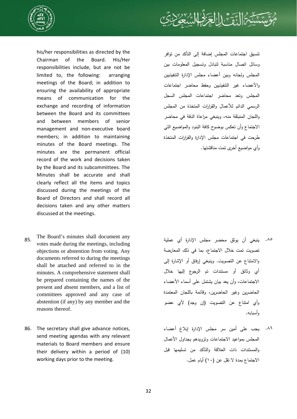

his/her responsibilities as directed by the Chairman of the Board. His/Her responsibilities include, but are not be limited to, the following: arranging meetings of the Board; in addition to ensuring the availability of appropriate means of communication for the exchange and recording of information between the Board and its committees and between members of senior management and non-executive board members; in addition to maintaining minutes of the Board meetings. The minutes are the permanent official record of the work and decisions taken by the Board and its subcommittees. The Minutes shall be accurate and shall clearly reflect all the items and topics discussed during the meetings of the Board of Directors and shall record all decisions taken and any other matters discussed at the meetings.

- 85. The Board's minutes shall document any votes made during the meetings, including objections or abstention from voting. Any documents referred to during the meetings shall be attached and referred to in the minutes. A comprehensive statement shall be prepared containing the names of the present and absent members, and a list of committees approved and any case of abstention (if any) by any member and the reasons thereof.
- 86. The secretary shall give advance notices, send meeting agendas with any relevant materials to Board members and ensure their delivery within a period of (10) working days prior to the meeting.

تنسيق اجتماعات المجلس إضافة إلى التأكد من توافر وسائل اتصال مناسبة لتبادل وتسجيل المعلومات بين المجلس ولجانه وبين أعضاء مجلس الإدارة التنفيذيين والأعضاء غير التنفيذيين وحفظ محاضر اجتماعات المجلس وتعد محاضر اجتماعات المجلس السجل الرسمي الدائم للأعمال والقرارات المتخذة من المجلس واللجان المنبثقة منه، وينبغي مراعاة الدقة في محاضر الاجتماع وأن تعكس بوضوح كافة البنود والمواضيع التي طرحت في اجتماعات مجلس الإدارة والقرارات المتخذة وأي مواضيع أخرى تمت مناقشتها.

:

- ينبغي أن يوثق محضر مجلس الإدارة أي عملية تصويت تمت خلال الاجتماع، بما في ذلك المعارضة والامتناع عن التصويت. وينبغي إرفاق أو الإشارة إلى أي وثائق أو مستندات تم الرجوع إليها خلال الاجتماعات، وأن يعد بيان يشتمل على أسماء الأعضاء الحاضرين وغير الحاضرين، وقائمة باللجان المعتمدة وأي امتناع عن التصويت (إن وجد) لأي عضو وأسبابه. .٨٥
- يجب على أمين سر مجلس الإدارة إبلاغ أعضاء .٨٦المجلس بمواعيد الاجتماعات وتزويدهم بجداول الأعمال والمستندات ذات العلاقة والتأكد من تسليمها قبل الاجتماع بمدة لا تقل عن (١٠) أيام عمل.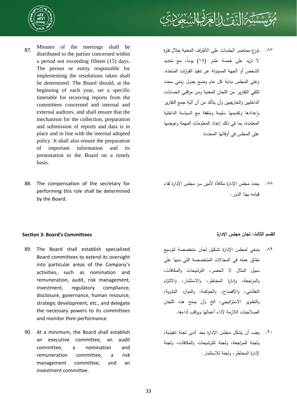

- 87. Minutes of the meetings shall be distributed to the parties concerned within a period not exceeding fifteen (15) days. The person or entity responsible for implementing the resolutions taken shall be determined. The Board should, at the beginning of each year, set a specific timetable for receiving reports from the committees concerned and internal and external auditors, and shall ensure that the mechanism for the collection, preparation and submission of reports and data is in place and in line with the internal adopted policy. It shall also ensure the preparation of important information and its presentation to the Board on a timely basis.
- 88. The compensation of the secretary for performing this role shall be determined by the Board.



توزع محاضر الجلسات على الأطراف المعنية خلال فترة لا تزيد على خمسة عشر (١٥) ً يوما، مع تحديد الشخص أو الجهة المسؤولة عن تنفيذ القرارات المتخذة. وعلى المجلس بداية كل عام وضع جدول زمني محدد لتلقي التقارير من اللجان المعنية ومن مراقبي الحسابات الداخليين والخارجيين وأن يتأكد من أن آلية جمع التقارير رإعدادها وتقديمها سليمة ومتفقة مع السياسة الداخلية المعتمدة، بما في ذلك إعداد المعلومات المهمة وعرضها على المجلس في أوقاتها المحددة. .٨٧

يحدد مجلس الإدارة مكافأة لأمين سر مجلس الإدارة لقاء .٨٨ قيامه بهذا الدور.

# **القسم الثالث: لجان مجلس الإدارة Committees s'Board 3: SecƟon**

- 89. The Board shall establish specialized Board committees to extend its oversight into particular areas of the Company's activities, such as nomination and remuneration, audit, risk management, investment, regulatory compliance, disclosure, governance, human resource, strategic development, etc., and delegate the necessary powers to its committees and monitor their performance.
- 90. At a minimum, the Board shall establish an executive committee, an audit committee, a nomination and remuneration committee, a risk management committee, and an investment committee.

- ينبغي لمجلس الإدارة تشكيل لجان متخصصة لتوسيع .٨٩ نطاق عمله في المجالات المتخصصة التي منها على سبيل المثال لا الحصر، الترشيحات والمكافآت، رالمراجعة، وإدارة المخاطر، والاستثمار، والالتزام النظامي، والإفصاح، والحوكمة، والموارد البشرية، والتطوير الاستراتيجي، الخ وأن يمنح هذه اللجان الصلاحيات اللازمة لأداء أعمالها ويراقب أداءها.
- يجب أن يشكل مجلس الإدارة بحد أدنى لجنة تنفيذية، .٩٠ولجنة للمراجعة، ولجنة للترشيحات والمكافآت، ولجنة لإدارة المخاطر، ولجنة للاستثمار.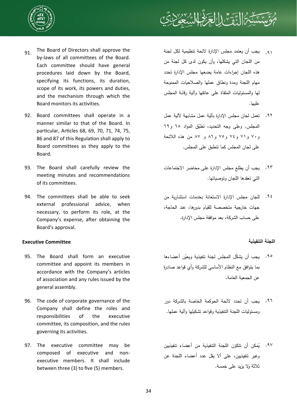



- 91. The Board of Directors shall approve the by-laws of all committees of the Board. Each committee should have general procedures laid down by the Board, specifying its functions, its duration, scope of its work, its powers and duties, and the mechanism through which the Board monitors its activities.
- 92. Board committees shall operate in a manner similar to that of the Board. In particular, Articles 68, 69, 70, 71, 74, 75, 86 and 87 of this Regulation shall apply to Board committees as they apply to the Board.
- 93. The Board shall carefully review the meeting minutes and recommendations of its committees.
- 94. The committees shall be able to seek external professional advice, when necessary, to perform its role, at the Company's expense, after obtaining the Board's approval.

# **اللجنة التنفيذية Committee Executive**

- 95. The Board shall form an executive committee and appoint its members in accordance with the Company's articles of association and any rules issued by the general assembly.
- 96. The code of corporate governance of the Company shall define the roles and responsibilities of the executive committee, its composition, and the rules governing its activities.
- 97. The executive committee may be composed of executive and nonexecutive members. It shall include between three (3) to five (5) members.
- يجب أن يعتمد مجلس الإدارة لائحة تنظيمية لكل لجنة من اللجان التي يشكلها، وأن يكون لدى كل لجنة من هذه اللجان إجراءات عامة يضعها مجلس الإدارة تحدد مهام اللجنة ومدة ونطاق عملها والصلاحيات الممنوحة لها والمسئوليات الملقاة على عاتقها وآلية رقابة المجلس عليها. .٩١
- تعمل لجان مجلس الإدارة بآلية عمل مشابهة لآلية عمل .٩٢ المجلس. وعلى وجه التحديد، تطبّق المواد ٦٨ و٦٩ و٧٠ و٧١ و٧٤ و٧٥ و٨٦ و ٨٧ من هذه اللائحة على لجان المجلس كما تنطبق على المجلس.
- يجب أن يطلع مجلس الإدارة على محاضر الاجتماعات .٩٣ التي تعقدها اللجان وتوصياتها.
- للجان مجلس الإدارة الاستعانة بخدمات استشارية من جهات خارجية متخصصة للقيام بدورها، عند الحاجة، على حساب الشركة، بعد موافقة مجلس الإدارة. .٩٤

- ٩٥. يجب أن يشكّل المجلس لجنة تتفيذية ويعيّن أعضاءها بما يتوافق مع النظام الأساسي للشركة وأي قواعد صادرة عن الجمعية العامة.
- يجب أن تحدد لائحة الحوكمة الخاصة بالشركة دور .٩٦ ومسئوليات اللجنة التنفيذية وقواعد تشكيلها وآلية عملها.
- ٩٧. يُمكن أن نتكوّن اللجنة التنفيذية من أعضاء تتفيذيين وغير تنفيذيين، على ألا يقل عدد أعضاء اللجنة عن ثلاثة ولا يزيد على خمسة.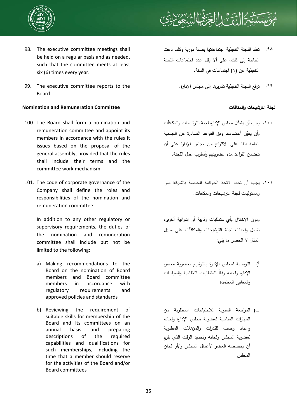



- 98. The executive committee meetings shall be held on a regular basis and as needed, such that the committee meets at least six (6) times every year.
- 99. The executive committee reports to the Board.

## **Nomination and Remuneration Committee والمكافآت الترشيحات لجنة**

- 100. The Board shall form a nomination and remuneration committee and appoint its members in accordance with the rules it issues based on the proposal of the general assembly, provided that the rules shall include their terms and the committee work mechanism.
- 101. The code of corporate governance of the Company shall define the roles and responsibilities of the nomination and remuneration committee.

In addition to any other regulatory or supervisory requirements, the duties of the nomination and remuneration committee shall include but not be limited to the following:

- a) Making recommendations to the Board on the nomination of Board members and Board committee members in accordance with regulatory requirements and approved policies and standards
- b) Reviewing the requirement of suitable skills for membership of the Board and its committees on an annual basis and preparing descriptions of the required capabilities and qualifications for such memberships, including the time that a member should reserve for the activities of the Board and/or Board committees
- تعقد اللجنة التنفيذية اجتماعاتها بصفة دورية وكلما دعت الحاجة إلى ذلك، على ألا يقل عدد اجتماعات اللجنة التنفيذية عن (٦) اجتماعات في السنة. .٩٨
	- .٩٩ ترفع اللجنة التنفيذية تقاريرها إلى مجلس الإدارة.

- يجب أن ّ يشكل مجلس الإدارة لجنة للترشيحات والمكافآت .١٠٠ وأن يعيّن أعضاءها وفق القواعد الصادرة عن الجمعية العامة بناءً على الاقتراح من مجلس الإدارة على أن تتضمن القواعد مدة عضويتهم وأسلوب عمل اللجنة.
- يجب أن تحدد لائحة الحوكمة الخاصة بالشركة دور .١٠١ ومسئوليات لجنة الترشيحات والمكافآت.

ودون الإخلال بأي متطلبات رقابية أو إشرافية أخرى، تشمل واجبات لجنة الترشيحات والمكافآت على سبيل المثال لا الحصر ما يلي:

- أ) التوصية لمجلس الإدارة بالترشيح لعضوية مجلس الإدارة ولجانه وفقا للمتطلبات النظامية والسياسات والمعايير المعتمدة
- ب) المراجعة السنوية للاحتياجات المطلوبة من المهارات المناسبة لعضوية مجلس الإدارة ولجانه رإعداد وصف للقدرات والمؤهلات المطلوبة لعضوية المجلس ولجانه وتحديد الوقت الذي يلزم أن يخصصه العضو لأعمال المجلس و/أو لجان المجلس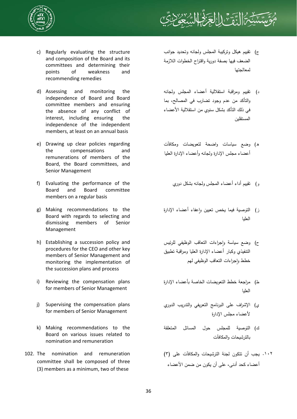



- c) Regularly evaluating the structure and composition of the Board and its committees and determining their points of weakness and recommending remedies
- d) Assessing and monitoring the independence of Board and Board committee members and ensuring the absence of any conflict of interest, including ensuring the independence of the independent members, at least on an annual basis
- e) Drawing up clear policies regarding the compensations and remunerations of members of the Board, the Board committees, and Senior Management
- f) Evaluating the performance of the Board and Board committee members on a regular basis
- g) Making recommendations to the Board with regards to selecting and dismissing members of Senior Management
- h) Establishing a succession policy and procedures for the CEO and other key members of Senior Management and monitoring the implementation of the succession plans and process
- i) Reviewing the compensation plans for members of Senior Management
- j) Supervising the compensation plans for members of Senior Management
- k) Making recommendations to the Board on various issues related to nomination and remuneration
- 102. The nomination and remuneration committee shall be composed of three (3) members as a minimum, two of these
- ج) تقييم هيكل وتركيبة المجلس ولجانه وتحديد جوانب الضعف فيها بصفة دورية واقتراح الخطوات اللازمة لمعالجتها
- د) تقييم ومراقبة استقلالية أعضاء المجلس ولجانه والتأكد من عدم وجود تضارب في المصالح، بما في ذلك التأكد بشكل سنوي من استقلالية الأعضاء المستقلين
- ه) وضع سياسات واضحة لتعويضات ومكافآت أعضاء مجلس الإدارة ولجانه وأعضاء الإدارة العليا
	- و) تقييم أداء أعضاء المجلس ولجانه بشكل دوري
- ز) التوصية فيما يخص تعيين واعفاء أعضاء الإدارة العليا
- ح) وضع سياسة واجراءات التعاقب الوظيفي للرئيس التنفيذي وكبار أعضاء الإدارة العليا ومراقبة تطبيق خطط واجراءات التعاقب الوظيفي لهم
- ط) مراجعة خطط التعويضات الخاصة بأعضاء الإدارة العليا
- ي) الإشراف على البرنامج التعريفي والتدريب الدوري لأعضاء مجلس الإدارة
- ك) التوصية للمجلس حول المسائل المتعلقة بالترشيحات والمكافآت
- يجب أن تتكون لجنة الترشيحات والمكافآت على (٣) .١٠٢أعضاء كحد أدنى، على أن يكون من ضمن الأعضاء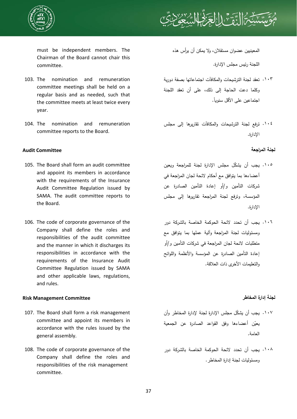



must be independent members. The Chairman of the Board cannot chair this committee.

- 103. The nomination and remuneration committee meetings shall be held on a regular basis and as needed, such that the committee meets at least twice every year.
- 104. The nomination and remuneration committee reports to the Board.

# **لجنة المراجعة Committee Audit**

- 105. The Board shall form an audit committee and appoint its members in accordance with the requirements of the Insurance Audit Committee Regulation issued by SAMA. The audit committee reports to the Board.
- 106. The code of corporate governance of the Company shall define the roles and responsibilities of the audit committee and the manner in which it discharges its responsibilities in accordance with the requirements of the Insurance Audit Committee Regulation issued by SAMA and other applicable laws, regulations, and rules.

# **لجنة إدارة المخاطر Committee Management Risk**

- 107. The Board shall form a risk management committee and appoint its members in accordance with the rules issued by the general assembly.
- 108. The code of corporate governance of the Company shall define the roles and responsibilities of the risk management committee.

المعينيين عضوان مستقلان، ولا يمكن أن يرأس هذه

اللجنة رئيس مجلس الإدارة.

- تعقد لجنة الترشيحات والمكافآت اجتماعاتها بصفة دورية .١٠٣ وكلما دعت الحاجة إلى ذلك، على أن تعقد اللجنة .ً اجتماعين على الأقل سنويا
- ترفع لجنة الترشيحات والمكافآت تقاريرها إلى مجلس .١٠٤ الإدارة.

- ١٠٥. يجب أن يشكّل مجلس الإدارة لجنة للمراجعة ويعين أعضاءها بما يتوافق مع أحكام لائحة لجان المراجعة في شركات التأمين و/أو إعادة التأمين الصادرة عن المؤسسة، وترفع لجنة المراجعة تقاريرها إلى مجلس الإدارة.
- يجب أن تحدد لائحة الحوكمة الخاصة بالشركة دور .١٠٦ ومسئوليات لجنة المراجعة وآلية عملها بما يتوافق مع متطلبات لائحة لجان المراجعة في شركات التأمين و/أو إعادة التأمين الصادرة عن المؤسسة والأنظمة واللوائح والتعليمات الأخرى ذات العلاقة.

- ١٠٧. يجب أن يشكّل مجلس الإدارة لجنة لإدارة المخاطر وأن يعيّن أعضاءها وفق القواعد الصادرة عن الجمعية العامة.
- يجب أن تحدد لائحة الحوكمة الخاصة بالشركة دور .١٠٨ومسئوليات لجنة إدارة المخاطر.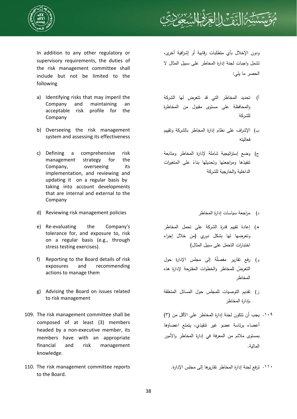



In addition to any other regulatory or supervisory requirements, the duties of the risk management committee shall include but not be limited to the following

- a) Identifying risks that may imperil the Company and maintaining an acceptable risk profile for the Company
- b) Overseeing the risk management system and assessing its effectiveness
- c) Defining a comprehensive risk management strategy for the Company, overseeing its implementation, and reviewing and updating it on a regular basis by taking into account developments that are internal and external to the Company
- د) مراجعة سياسات إدارة المخاطر policies management risk Reviewing) d
- e) Re-evaluating the Company's tolerance for, and exposure to, risk on a regular basis (e.g., through stress testing exercises).
- f) Reporting to the Board details of risk exposures and recommending actions to manage them
- g) Advising the Board on issues related to risk management
- 109. The risk management committee shall be composed of at least (3) members headed by a non-executive member, its members have with an appropriate financial and risk management knowledge.
- 110. The risk management committee reports to the Board.

ودون الإخلال بأي متطلبات رقابية أو إشرافية أخرى، تشمل واجبات لجنة إدارة المخاطر على سبيل المثال لا الحصر ما يلي:

- أ) تحديد المخاطر التي قد تتعرض لها الشركة والمحافظة على مستوى مقبول من المخاطرة للشركة
- ب) الإشراف على نظام إدارة المخاطر بالشركة وتقييم فعاليته
- ج) وضع إستراتيجية شاملة لإدارة المخاطر ومتابعة تفيذها ومرا<mark>جعت</mark>ها وتحديثها بناءً على المتغيرات الداخلية والخارجية للشركة
	-
- ه) إعادة تقييم قدرة الشركة على تحمل المخاطر وتعرضها لها بشكل دوري (من خلال إجراء اختبارات التحمل على سبيل المثال)
- ر) رفع تقارير مفصلة إلى مجلس الإدارة حول ّ التعرض للمخاطر والخطوات المقترحة لإدارة هذه المخاطر
- ز) تقديم التوصيات للمجلس حول المسائل المتعلقة بإدارة المخاطر
- يجب أن تتكون لجنة إدارة المخاطر على الأقل من (٣) .١٠٩ أعضاء برئاسة عضو غير تنقيذي، يتمتع اعضاؤها بمستوى ملائم من المعرفة في إدارة المخاطر والأمور المالية.

.١١٠ ترفع لجنة إدارة المخاطر تقاريرها إلى مجلس الإدارة.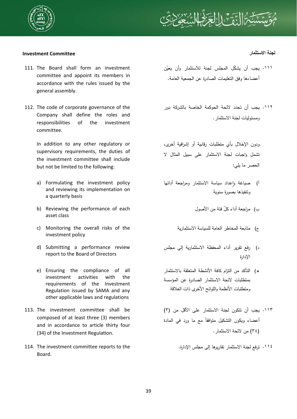



# **لجنة الاستثمار Committee Investment**

- 111. The Board shall form an investment committee and appoint its members in accordance with the rules issued by the general assembly.
- 112. The code of corporate governance of the Company shall define the roles and responsibilities of the investment committee.

In addition to any other regulatory or supervisory requirements, the duties of the investment committee shall include but not be limited to the following:

- a) Formulating the investment policy and reviewing its implementation on a quarterly basis
- b) Reviewing the performance of each asset class
- c) Monitoring the overall risks of the investment policy
- d) Submitting a performance review report to the Board of Directors
- e) Ensuring the compliance of all investment activities with the requirements of the Investment Regulation issued by SAMA and any other applicable laws and regulations
- 113. The investment committee shall be composed of at least three (3) members and in accordance to article thirty four (34) of the Investment Regulation.
- 114. The investment committee reports to the Board.

- ا ا . يجب أن يشكّل المجلس لجنة للاستثمار وأن يعيّن أعضاءها وفق التعليمات الصادرة عن الجمعية العامة.
- ١١٢. يجب أن تحدد لائحة الحوكمة الخاصة بالشركة دور ومسئوليات لجنة الاستثمار.

ودون الإخلال بأي متطلبات رقابية أو إشرافية أخرى، تشمل واجبات لجنة الاستثمار على سبيل المثال لا الحصر ما يلي:

- أ) صباغة واعداد سباسة الاستثمار ومراجعة أدائها وتنفيذها بصورة سنوية
	- ب) مراجعة أداء ّكل فئة من الأصول
	- ج) متابعة المخاطر العامة للسياسة الاستثمارية
- د) رفع تقرير أداء المحفظة الاستثمارية إلى مجلس الإدارة
- ه) التأكد من التزام كافة الأنشطة المتعلقة بالاستثمار بمتطلبات لائحة الاستثمار الصادرة عن المؤسسة ومتطلبات الأنظمة واللوائح الأخرى ذات العلاقة
- يجب أن تتكون لجنة الاستثمار على الأقل من (٣) .١١٣ أعضاء ويكون النشكيل متوافقا مع ما ورد في المادة (٣٤) من لائحة الاستثمار.
	- .١١٤ ترفع لجنة الاستثمار تقاريرها إلى مجلس الإدارة.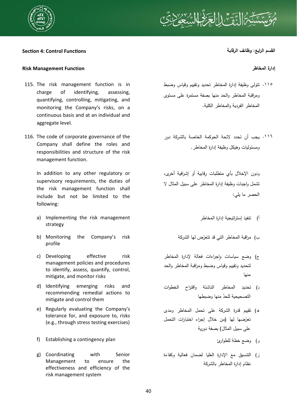

## **القسم الرابع: وظائف الرقابة FuncƟons Control 4: SecƟon**

## **Risk Management Function المخاطر إدارة**

- 115. The risk management function is in charge of identifying, assessing, quantifying, controlling, mitigating, and monitoring the Company's risks, on a continuous basis and at an individual and aggregate level.
- 116. The code of corporate governance of the Company shall define the roles and responsibilities and structure of the risk management function.

In addition to any other regulatory or supervisory requirements, the duties of the risk management function shall include but not be limited to the following:

- a) Implementing the risk management strategy
- b) Monitoring the Company's risk profile
- c) Developing effective risk management policies and procedures to identify, assess, quantify, control, mitigate, and monitor risks
- d) Identifying emerging risks and recommending remedial actions to mitigate and control them
- e) Regularly evaluating the Company's tolerance for, and exposure to, risks (e.g., through stress testing exercises)
- f) Establishing a contingency plan للطوارئ خطة وضع) و
- g) Coordinating with Senior Management to ensure the effectiveness and efficiency of the risk management system

- تتولى وظيفة إدارة المخاطر تحديد وتقييم وقياس وضبط .١١٥ ومراقبة المخاطر والحد منها بصفة مستمرة على مستوى المخاطر الفردية والمخاطر الكلية.
- يجب أن تحدد لائحة الحوكمة الخاصة بالشركة دور .١١٦ ومسئوليات وهيكل وظيفة إدارة المخاطر.

ودون الإخلال بأي متطلبات رقابية أو إشرافية أخرى، تشمل واجبات وظيفة إدارة المخاطر على سبيل المثال لا الحصر ما يلي:

- أ) تنفيذ إستراتيجية إدارة المخاطر
- ب) مراقبة المخاطر التي قد تتعرّض لها الشركة
- ج) وضع سياسات ٕواجراءات فعالة لإدارة المخاطر لتحديد وتقييم وقياس وضبط ومراقبة المخاطر والحد منها
- د) تحديد المخاطر الناشئة واقتراح الخطوات التصحيحية للحد ّ منها وضبطها
- ه) تقييم قدرة الشركة على تحمل المخاطر ومدى تعرّضها لها (من خلال إجراء اختبارات التحمل على سبيل المثال) بصفة دورية
	-
- ز) التنسيق مع الإدارة العليا لضمان فعالية وكفاءة نظام إدارة المخاطر بالشركة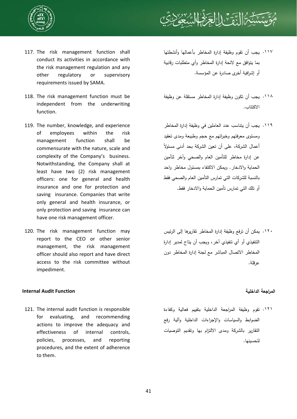

- 117. The risk management function shall conduct its activities in accordance with the risk management regulation and any other regulatory or supervisory requirements issued by SAMA.
- 118. The risk management function must be independent from the underwriting function.
- 119. The number, knowledge, and experience of employees within the risk management function shall be commensurate with the nature, scale and complexity of the Company's business. Notwithstanding, the Company shall at least have two (2) risk management officers: one for general and health insurance and one for protection and saving insurance. Companies that write only general and health insurance, or only protection and saving insurance can have one risk management officer.
- 120. The risk management function may report to the CEO or other senior management, the risk management officer should also report and have direct access to the risk committee without impediment.

## **Internal Audit Function الداخلية المراجعة**

121. The internal audit function is responsible for evaluating, and recommending actions to improve the adequacy and effectiveness of internal controls, policies, processes, and reporting procedures, and the extent of adherence to them.



- ١١٧. يجب أن تقوم وظيفة إدارة المخاطر بأعمالها وأنشطتها بما يتوافق مع لائحة إدارة المخاطر وأي متطلبات رقابية أو إشرافية أخرى صادرة عن المؤسسة.
- ١١٨. يجب أن تكون وظيفة إدارة المخاطر مستقلة عن وظيفة الاكتتاب.
- يجب أن يتناسب عدد العاملين في وظيفة إدارة المخاطر .١١٩ ومستوى معرفتهم وخبراتهم مع حجم وطبيعة ومدى تعقيد ً أعمال الشركة، على أن تعين الشركة بحد أدنى مسئولا عن إدارة مخاطر للتأمين العام والصحي وآخر لتأمين الحماية والادخار. ويمكن الاكتفاء بمسئول مخاطر واحد بالنسبة للشركات التي تمارس التأمين العام والصحي فقط أو تلك التي تمارس تأمين الحماية والادخار فقط.
- يمكن أن ترفع وظيفة إدارة المخاطر تقاريرها إلى الرئيس .١٢٠ التنفيذي أو أي تنفيذي آخر، ويجب أن يتاح لمدير إدارة المخاطر الاتصال المباشر مع لجنة إدارة المخاطر دون عرقلة.

تقوم وظيفة المراجعة الداخلية بتقييم فعالية وكفاءة .١٢١الضوابط والسياسات والإجراءات الداخلية وآلية رفع التقارير بالشركة ومدى الالتزام بها وتقديم التوصيات لتحسينها.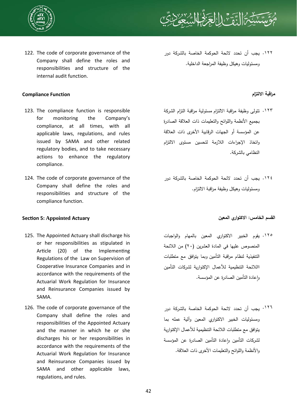



122. The code of corporate governance of the Company shall define the roles and responsibilities and structure of the internal audit function.

## **مراقبة الالتزام Function Compliance**

- 123. The compliance function is responsible for monitoring the Company's compliance, at all times, with all applicable laws, regulations, and rules issued by SAMA and other related regulatory bodies, and to take necessary actions to enhance the regulatory compliance.
- 124. The code of corporate governance of the Company shall define the roles and responsibilities and structure of the compliance function.

# **القسم الخامس: الاكتواري المعين Actuary Appointed 5: SecƟon**

- 125. The Appointed Actuary shall discharge his or her responsibilities as stipulated in Article (20) of the Implementing Regulations of the Law on Supervision of Cooperative Insurance Companies and in accordance with the requirements of the Actuarial Work Regulation for Insurance and Reinsurance Companies issued by SAMA.
- 126. The code of corporate governance of the Company shall define the roles and responsibilities of the Appointed Actuary and the manner in which he or she discharges his or her responsibilities in accordance with the requirements of the Actuarial Work Regulation for Insurance and Reinsurance Companies issued by SAMA and other applicable laws, regulations, and rules.

١٢٢. يجب أن تحدد لائحة الحوكمة الخاصة بالشركة دور ومسئوليات وهيكل وظيفة المراجعة الداخلية.

- تتولى وظيفة مراقبة الالتزام مسئولية مراقبة التزام الشركة .١٢٣ بجميع الأنظمة واللوائح والتعليمات ذات العلاقة الصادرة عن المؤسسة أو الجهات الرقابية الأخرى ذات العلاقة واتخاذ الإجراءات اللازمة لتحسين مستوى الالتزام النظامي بالشركة.
- يجب أن تحدد لائحة الحوكمة الخاصة بالشركة دور .١٢٤ ومسئوليات وهيكل وظيفة مراقبة الالتزام.

- يقوم الخبير الاكتواري المعين بالمهام والواجبات .١٢٥ المنصوص عليها في المادة العشرين (٢٠) من اللائحة التنفيذية لنظام مراقبة التأمين وبما يتوافق مع متطلبات االلائحة التنظيمية للأعمال الإكتوارية لشركات التأمين واعادة التأمين الصادرة عن المؤسسة.
- يجب أن تحدد لائحة الحوكمة الخاصة بالشركة دور .١٢٦ومسئوليات الخبير الاكتواري المعين وآلية عمله بما يتوافق مع متطلبات اللائحة التنظيمية للأعمال الإكتوارية لشركات التأمين واعادة التأمين الصادرة عن المؤسسة والأنظمة واللوائح والتعليمات الأخرى ذات العلاقة.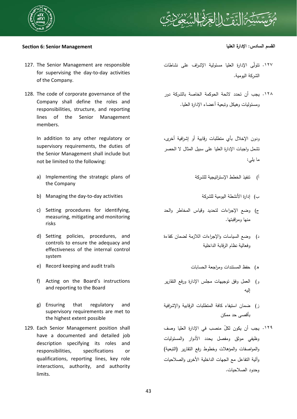



# **القسم السادس: الإدارة العليا Management Senior 6: SecƟon**

- 127. The Senior Management are responsible for supervising the day-to-day activities of the Company.
- 128. The code of corporate governance of the Company shall define the roles and responsibilities, structure, and reporting lines of the Senior Management members.

In addition to any other regulatory or supervisory requirements, the duties of the Senior Management shall include but not be limited to the following:

- a) Implementing the strategic plans of the Company
- b) Managing the day-to-day activities للشركة اليومية الأنشطة إدارة) ب
- c) Setting procedures for identifying, measuring, mitigating and monitoring risks
- d) Setting policies, procedures, and controls to ensure the adequacy and effectiveness of the internal control system
- e) Record keeping and audit trails الحسابات ومراجعة المستندات حفظ) ه
- f) Acting on the Board's instructions and reporting to the Board
- g) Ensuring that regulatory and supervisory requirements are met to the highest extent possible
- 129. Each Senior Management position shall have a documented and detailed job description specifying its roles and responsibilities, specifications or qualifications, reporting lines, key role interactions, authority, and authority limits.

- ١٢٧. تتولَّى الإدارة العليا مسئولية الإشراف على نشاطات الشركة اليومية.
- ١٢٨. يجب أن تحدد لائحة الحوكمة الخاصة بالشركة دور ومسئوليات وهيكل وتبعية أعضاء الإدارة العليا.

ودون الإخلال بأي متطلبات رقابية أو إشرافية أخرى، تشمل واجبات الإدارة العليا على سبيل المثال لا الحصر ما يلي:

- أ) تنفيذ الخطط الإستراتيجية للشركة
	-
- ج) وضع الإجراءات لتحديد وقياس المخاطر والحد منها ومراقبتها.
- د) وضع السياسات والإجراءات اللازمة لضمان كفاءة وفعالية نظام الرقابة الداخلية
	-
- و) العمل وفق توجيهات مجلس الإدارة ورفع التقارير إليه
- ز) ضمان استيفاء كافة المتطلبات الرقابية والإشرافية بأقصى حد ممكن
- ١٢٩. يجب أن يكون لكلّ منصب في الإدارة العليا وصف وظيفي موثق ومفصل يحدد الأدوار والمسئوليات والمواصفات والمؤهلات وخطوط رفع التقارير (التبعية) وآلية التفاعل مع الجهات الداخلية الأخرى والصلاحيات وحدود الصلاحيات.